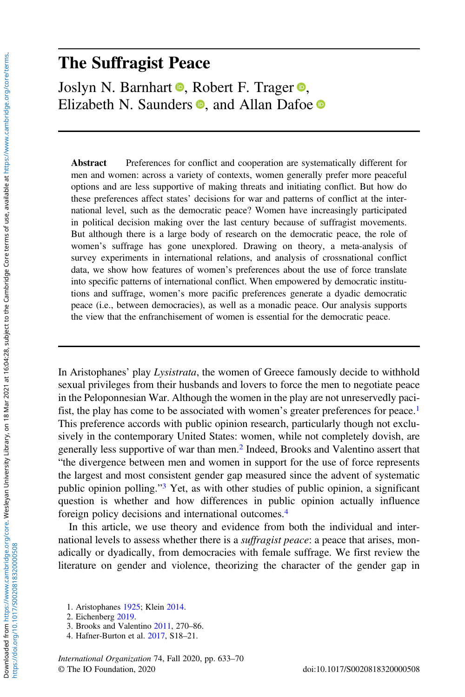# The Suffragist Peace

Joslyn N. Barnhart  $\bullet$ , Robert F. Trager  $\bullet$ , Elizabeth N. Saunders  $\bullet$ , and Allan Dafoe  $\bullet$ 

Abstract Preferences for conflict and cooperation are systematically different for men and women: across a variety of contexts, women generally prefer more peaceful options and are less supportive of making threats and initiating conflict. But how do these preferences affect states' decisions for war and patterns of conflict at the international level, such as the democratic peace? Women have increasingly participated in political decision making over the last century because of suffragist movements. But although there is a large body of research on the democratic peace, the role of women's suffrage has gone unexplored. Drawing on theory, a meta-analysis of survey experiments in international relations, and analysis of crossnational conflict data, we show how features of women's preferences about the use of force translate into specific patterns of international conflict. When empowered by democratic institutions and suffrage, women's more pacific preferences generate a dyadic democratic peace (i.e., between democracies), as well as a monadic peace. Our analysis supports the view that the enfranchisement of women is essential for the democratic peace.

In Aristophanes' play *Lysistrata*, the women of Greece famously decide to withhold sexual privileges from their husbands and lovers to force the men to negotiate peace in the Peloponnesian War. Although the women in the play are not unreservedly pacifist, the play has come to be associated with women's greater preferences for peace.<sup>1</sup> This preference accords with public opinion research, particularly though not exclusively in the contemporary United States: women, while not completely dovish, are generally less supportive of war than men.2 Indeed, Brooks and Valentino assert that "the divergence between men and women in support for the use of force represents the largest and most consistent gender gap measured since the advent of systematic public opinion polling."<sup>3</sup> Yet, as with other studies of public opinion, a significant question is whether and how differences in public opinion actually influence foreign policy decisions and international outcomes.<sup>4</sup>

In this article, we use theory and evidence from both the individual and international levels to assess whether there is a *suffragist peace*: a peace that arises, monadically or dyadically, from democracies with female suffrage. We first review the literature on gender and violence, theorizing the character of the gender gap in

- 3. Brooks and Valentino [2011](#page-34-0), 270–86.
- 4. Hafner-Burton et al. [2017](#page-35-0), S18–21.

<sup>1.</sup> Aristophanes [1925](#page-34-0); Klein [2014.](#page-35-0)

<sup>2.</sup> Eichenberg [2019.](#page-34-0)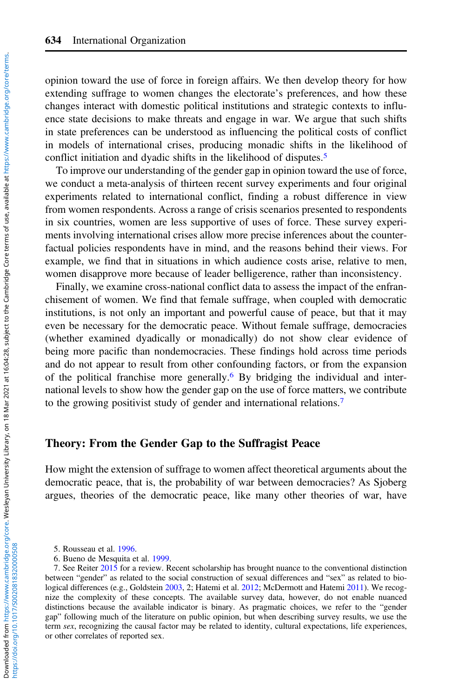opinion toward the use of force in foreign affairs. We then develop theory for how extending suffrage to women changes the electorate's preferences, and how these changes interact with domestic political institutions and strategic contexts to influence state decisions to make threats and engage in war. We argue that such shifts in state preferences can be understood as influencing the political costs of conflict in models of international crises, producing monadic shifts in the likelihood of conflict initiation and dyadic shifts in the likelihood of disputes.<sup>5</sup>

To improve our understanding of the gender gap in opinion toward the use of force, we conduct a meta-analysis of thirteen recent survey experiments and four original experiments related to international conflict, finding a robust difference in view from women respondents. Across a range of crisis scenarios presented to respondents in six countries, women are less supportive of uses of force. These survey experiments involving international crises allow more precise inferences about the counterfactual policies respondents have in mind, and the reasons behind their views. For example, we find that in situations in which audience costs arise, relative to men, women disapprove more because of leader belligerence, rather than inconsistency.

Finally, we examine cross-national conflict data to assess the impact of the enfranchisement of women. We find that female suffrage, when coupled with democratic institutions, is not only an important and powerful cause of peace, but that it may even be necessary for the democratic peace. Without female suffrage, democracies (whether examined dyadically or monadically) do not show clear evidence of being more pacific than nondemocracies. These findings hold across time periods and do not appear to result from other confounding factors, or from the expansion of the political franchise more generally.<sup>6</sup> By bridging the individual and international levels to show how the gender gap on the use of force matters, we contribute to the growing positivist study of gender and international relations.<sup>7</sup>

## Theory: From the Gender Gap to the Suffragist Peace

How might the extension of suffrage to women affect theoretical arguments about the democratic peace, that is, the probability of war between democracies? As Sjoberg argues, theories of the democratic peace, like many other theories of war, have

<sup>5.</sup> Rousseau et al. [1996](#page-36-0).

<sup>6.</sup> Bueno de Mesquita et al. [1999](#page-34-0).

<sup>7.</sup> See Reiter [2015](#page-36-0) for a review. Recent scholarship has brought nuance to the conventional distinction between "gender" as related to the social construction of sexual differences and "sex" as related to bio-logical differences (e.g., Goldstein [2003](#page-35-0), 2; Hatemi et al. [2012](#page-35-0); McDermott and Hatemi [2011](#page-35-0)). We recognize the complexity of these concepts. The available survey data, however, do not enable nuanced distinctions because the available indicator is binary. As pragmatic choices, we refer to the "gender gap" following much of the literature on public opinion, but when describing survey results, we use the term sex, recognizing the causal factor may be related to identity, cultural expectations, life experiences, or other correlates of reported sex.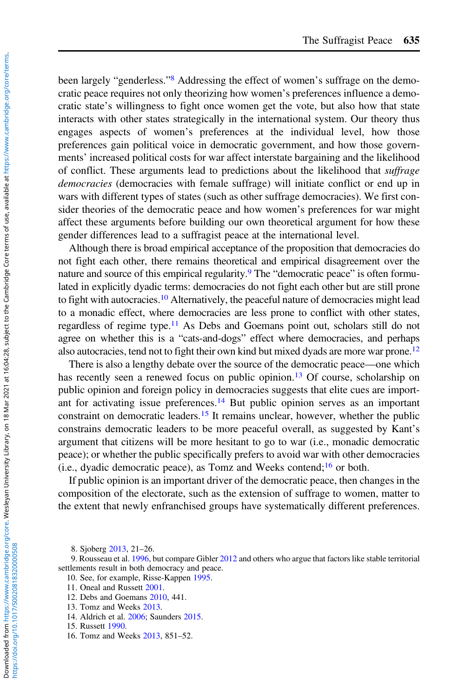been largely "genderless."<sup>8</sup> Addressing the effect of women's suffrage on the democratic peace requires not only theorizing how women's preferences influence a democratic state's willingness to fight once women get the vote, but also how that state interacts with other states strategically in the international system. Our theory thus engages aspects of women's preferences at the individual level, how those preferences gain political voice in democratic government, and how those governments' increased political costs for war affect interstate bargaining and the likelihood of conflict. These arguments lead to predictions about the likelihood that suffrage democracies (democracies with female suffrage) will initiate conflict or end up in wars with different types of states (such as other suffrage democracies). We first consider theories of the democratic peace and how women's preferences for war might affect these arguments before building our own theoretical argument for how these gender differences lead to a suffragist peace at the international level.

Although there is broad empirical acceptance of the proposition that democracies do not fight each other, there remains theoretical and empirical disagreement over the nature and source of this empirical regularity.<sup>9</sup> The "democratic peace" is often formulated in explicitly dyadic terms: democracies do not fight each other but are still prone to fight with autocracies.<sup>10</sup> Alternatively, the peaceful nature of democracies might lead to a monadic effect, where democracies are less prone to conflict with other states, regardless of regime type.11 As Debs and Goemans point out, scholars still do not agree on whether this is a "cats-and-dogs" effect where democracies, and perhaps also autocracies, tend not to fight their own kind but mixed dyads are more war prone.<sup>12</sup>

There is also a lengthy debate over the source of the democratic peace—one which has recently seen a renewed focus on public opinion.<sup>13</sup> Of course, scholarship on public opinion and foreign policy in democracies suggests that elite cues are important for activating issue preferences.<sup>14</sup> But public opinion serves as an important constraint on democratic leaders.<sup>15</sup> It remains unclear, however, whether the public constrains democratic leaders to be more peaceful overall, as suggested by Kant's argument that citizens will be more hesitant to go to war (i.e., monadic democratic peace); or whether the public specifically prefers to avoid war with other democracies (i.e., dyadic democratic peace), as Tomz and Weeks contend;<sup>16</sup> or both.

If public opinion is an important driver of the democratic peace, then changes in the composition of the electorate, such as the extension of suffrage to women, matter to the extent that newly enfranchised groups have systematically different preferences.

10. See, for example, Risse-Kappen [1995.](#page-36-0)

<sup>8.</sup> Sjoberg [2013](#page-36-0), 21–26.

<sup>9.</sup> Rousseau et al. [1996](#page-36-0), but compare Gibler [2012](#page-35-0) and others who argue that factors like stable territorial settlements result in both democracy and peace.

<sup>11.</sup> Oneal and Russett [2001](#page-36-0).

<sup>12.</sup> Debs and Goemans [2010](#page-34-0), 441.

<sup>13.</sup> Tomz and Weeks [2013.](#page-37-0)

<sup>14.</sup> Aldrich et al. [2006;](#page-34-0) Saunders [2015.](#page-36-0)

<sup>15.</sup> Russett [1990.](#page-36-0)

<sup>16.</sup> Tomz and Weeks [2013,](#page-37-0) 851–52.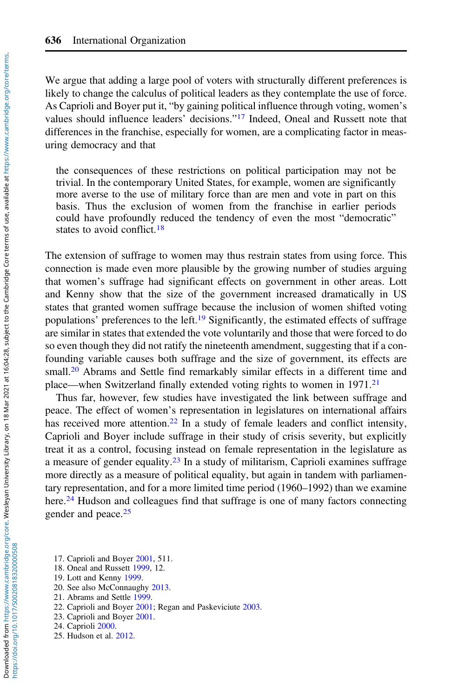We argue that adding a large pool of voters with structurally different preferences is likely to change the calculus of political leaders as they contemplate the use of force. As Caprioli and Boyer put it, "by gaining political influence through voting, women's values should influence leaders' decisions."<sup>17</sup> Indeed, Oneal and Russett note that differences in the franchise, especially for women, are a complicating factor in measuring democracy and that

the consequences of these restrictions on political participation may not be trivial. In the contemporary United States, for example, women are significantly more averse to the use of military force than are men and vote in part on this basis. Thus the exclusion of women from the franchise in earlier periods could have profoundly reduced the tendency of even the most "democratic" states to avoid conflict.<sup>18</sup>

The extension of suffrage to women may thus restrain states from using force. This connection is made even more plausible by the growing number of studies arguing that women's suffrage had significant effects on government in other areas. Lott and Kenny show that the size of the government increased dramatically in US states that granted women suffrage because the inclusion of women shifted voting populations' preferences to the left.<sup>19</sup> Significantly, the estimated effects of suffrage are similar in states that extended the vote voluntarily and those that were forced to do so even though they did not ratify the nineteenth amendment, suggesting that if a confounding variable causes both suffrage and the size of government, its effects are small.<sup>20</sup> Abrams and Settle find remarkably similar effects in a different time and place—when Switzerland finally extended voting rights to women in 1971.<sup>21</sup>

Thus far, however, few studies have investigated the link between suffrage and peace. The effect of women's representation in legislatures on international affairs has received more attention.<sup>22</sup> In a study of female leaders and conflict intensity, Caprioli and Boyer include suffrage in their study of crisis severity, but explicitly treat it as a control, focusing instead on female representation in the legislature as a measure of gender equality.<sup>23</sup> In a study of militarism, Caprioli examines suffrage more directly as a measure of political equality, but again in tandem with parliamentary representation, and for a more limited time period (1960–1992) than we examine here.<sup>24</sup> Hudson and colleagues find that suffrage is one of many factors connecting gender and peace.<sup>25</sup>

- 17. Caprioli and Boyer [2001](#page-34-0), 511.
- 18. Oneal and Russett [1999](#page-36-0), 12.
- 19. Lott and Kenny [1999](#page-35-0).
- 20. See also McConnaughy [2013.](#page-35-0)
- 21. Abrams and Settle [1999.](#page-34-0)
- 22. Caprioli and Boyer [2001](#page-34-0); Regan and Paskeviciute [2003](#page-36-0).
- 23. Caprioli and Boyer [2001](#page-34-0).
- 24. Caprioli [2000.](#page-34-0)
- 25. Hudson et al. [2012.](#page-35-0)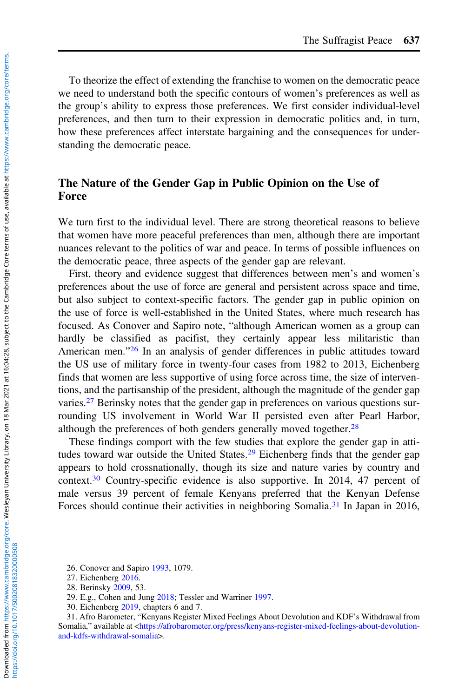To theorize the effect of extending the franchise to women on the democratic peace we need to understand both the specific contours of women's preferences as well as the group's ability to express those preferences. We first consider individual-level preferences, and then turn to their expression in democratic politics and, in turn, how these preferences affect interstate bargaining and the consequences for understanding the democratic peace.

# The Nature of the Gender Gap in Public Opinion on the Use of Force

We turn first to the individual level. There are strong theoretical reasons to believe that women have more peaceful preferences than men, although there are important nuances relevant to the politics of war and peace. In terms of possible influences on the democratic peace, three aspects of the gender gap are relevant.

First, theory and evidence suggest that differences between men's and women's preferences about the use of force are general and persistent across space and time, but also subject to context-specific factors. The gender gap in public opinion on the use of force is well-established in the United States, where much research has focused. As Conover and Sapiro note, "although American women as a group can hardly be classified as pacifist, they certainly appear less militaristic than American men."<sup>26</sup> In an analysis of gender differences in public attitudes toward the US use of military force in twenty-four cases from 1982 to 2013, Eichenberg finds that women are less supportive of using force across time, the size of interventions, and the partisanship of the president, although the magnitude of the gender gap varies.<sup>27</sup> Berinsky notes that the gender gap in preferences on various questions surrounding US involvement in World War II persisted even after Pearl Harbor, although the preferences of both genders generally moved together.<sup>28</sup>

These findings comport with the few studies that explore the gender gap in attitudes toward war outside the United States.<sup>29</sup> Eichenberg finds that the gender gap appears to hold crossnationally, though its size and nature varies by country and context.<sup>30</sup> Country-specific evidence is also supportive. In 2014, 47 percent of male versus 39 percent of female Kenyans preferred that the Kenyan Defense Forces should continue their activities in neighboring Somalia.<sup>31</sup> In Japan in 2016,

- 29. E.g., Cohen and Jung [2018;](#page-34-0) Tessler and Warriner [1997](#page-36-0).
- 30. Eichenberg [2019,](#page-34-0) chapters 6 and 7.

31. Afro Barometer, "Kenyans Register Mixed Feelings About Devolution and KDF's Withdrawal from Somalia," available at [<https://afrobarometer.org/press/kenyans-register-mixed-feelings-about-devolution](https://afrobarometer.org/press/kenyans-register-mixed-feelings-about-devolution-and-kdfs-withdrawal-somalia)[and-kdfs-withdrawal-somalia>](https://afrobarometer.org/press/kenyans-register-mixed-feelings-about-devolution-and-kdfs-withdrawal-somalia).

<sup>26.</sup> Conover and Sapiro [1993,](#page-34-0) 1079.

<sup>27.</sup> Eichenberg [2016.](#page-34-0)

<sup>28.</sup> Berinsky [2009](#page-34-0), 53.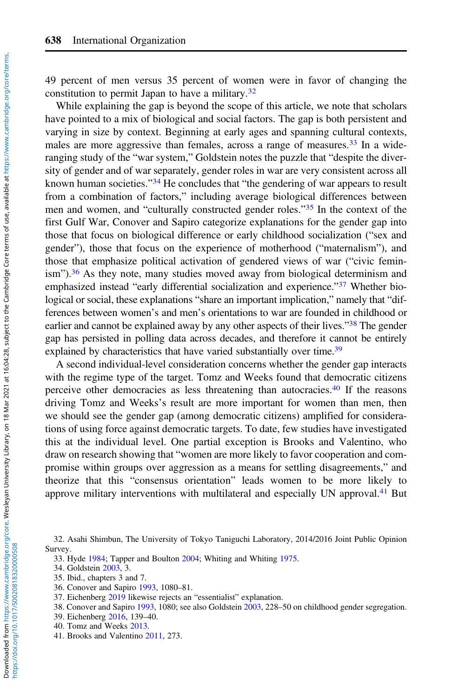49 percent of men versus 35 percent of women were in favor of changing the constitution to permit Japan to have a military.<sup>32</sup>

While explaining the gap is beyond the scope of this article, we note that scholars have pointed to a mix of biological and social factors. The gap is both persistent and varying in size by context. Beginning at early ages and spanning cultural contexts, males are more aggressive than females, across a range of measures. $33$  In a wideranging study of the "war system," Goldstein notes the puzzle that "despite the diversity of gender and of war separately, gender roles in war are very consistent across all known human societies."<sup>34</sup> He concludes that "the gendering of war appears to result from a combination of factors," including average biological differences between men and women, and "culturally constructed gender roles."<sup>35</sup> In the context of the first Gulf War, Conover and Sapiro categorize explanations for the gender gap into those that focus on biological difference or early childhood socialization ("sex and gender"), those that focus on the experience of motherhood ("maternalism"), and those that emphasize political activation of gendered views of war ("civic feminism").<sup>36</sup> As they note, many studies moved away from biological determinism and emphasized instead "early differential socialization and experience."<sup>37</sup> Whether biological or social, these explanations "share an important implication," namely that "differences between women's and men's orientations to war are founded in childhood or earlier and cannot be explained away by any other aspects of their lives."<sup>38</sup> The gender gap has persisted in polling data across decades, and therefore it cannot be entirely explained by characteristics that have varied substantially over time.<sup>39</sup>

A second individual-level consideration concerns whether the gender gap interacts with the regime type of the target. Tomz and Weeks found that democratic citizens perceive other democracies as less threatening than autocracies.40 If the reasons driving Tomz and Weeks's result are more important for women than men, then we should see the gender gap (among democratic citizens) amplified for considerations of using force against democratic targets. To date, few studies have investigated this at the individual level. One partial exception is Brooks and Valentino, who draw on research showing that "women are more likely to favor cooperation and compromise within groups over aggression as a means for settling disagreements," and theorize that this "consensus orientation" leads women to be more likely to approve military interventions with multilateral and especially UN approval.<sup>41</sup> But

- 36. Conover and Sapiro [1993,](#page-34-0) 1080–81.
- 37. Eichenberg [2019](#page-34-0) likewise rejects an "essentialist" explanation.
- 38. Conover and Sapiro [1993](#page-34-0), 1080; see also Goldstein [2003,](#page-35-0) 228–50 on childhood gender segregation.
- 39. Eichenberg [2016,](#page-34-0) 139–40.
- 40. Tomz and Weeks [2013.](#page-37-0)
- 41. Brooks and Valentino [2011](#page-34-0), 273.

<sup>32.</sup> Asahi Shimbun, The University of Tokyo Taniguchi Laboratory, 2014/2016 Joint Public Opinion Survey.

<sup>33.</sup> Hyde [1984;](#page-35-0) Tapper and Boulton [2004;](#page-36-0) Whiting and Whiting [1975.](#page-37-0)

<sup>34.</sup> Goldstein [2003](#page-35-0), 3.

<sup>35.</sup> Ibid., chapters 3 and 7.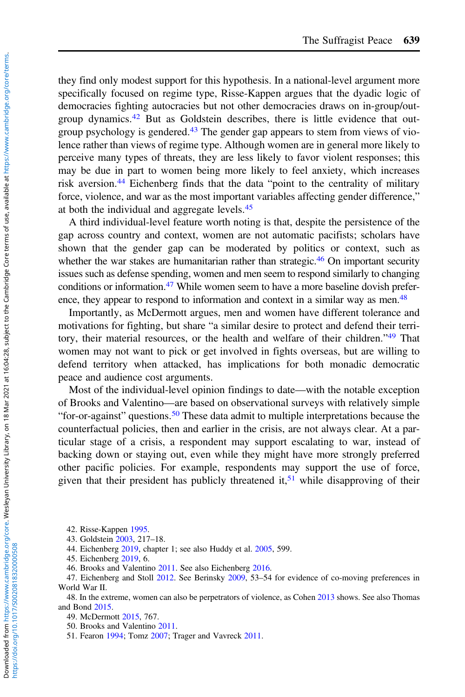they find only modest support for this hypothesis. In a national-level argument more specifically focused on regime type, Risse-Kappen argues that the dyadic logic of democracies fighting autocracies but not other democracies draws on in-group/outgroup dynamics. $42$  But as Goldstein describes, there is little evidence that outgroup psychology is gendered. $43$  The gender gap appears to stem from views of violence rather than views of regime type. Although women are in general more likely to perceive many types of threats, they are less likely to favor violent responses; this may be due in part to women being more likely to feel anxiety, which increases risk aversion.<sup>44</sup> Eichenberg finds that the data "point to the centrality of military force, violence, and war as the most important variables affecting gender difference," at both the individual and aggregate levels.<sup>45</sup>

A third individual-level feature worth noting is that, despite the persistence of the gap across country and context, women are not automatic pacifists; scholars have shown that the gender gap can be moderated by politics or context, such as whether the war stakes are humanitarian rather than strategic.<sup>46</sup> On important security issues such as defense spending, women and men seem to respond similarly to changing conditions or information.47 While women seem to have a more baseline dovish preference, they appear to respond to information and context in a similar way as men.<sup>48</sup>

Importantly, as McDermott argues, men and women have different tolerance and motivations for fighting, but share "a similar desire to protect and defend their territory, their material resources, or the health and welfare of their children."<sup>49</sup> That women may not want to pick or get involved in fights overseas, but are willing to defend territory when attacked, has implications for both monadic democratic peace and audience cost arguments.

Most of the individual-level opinion findings to date—with the notable exception of Brooks and Valentino—are based on observational surveys with relatively simple "for-or-against" questions.<sup>50</sup> These data admit to multiple interpretations because the counterfactual policies, then and earlier in the crisis, are not always clear. At a particular stage of a crisis, a respondent may support escalating to war, instead of backing down or staying out, even while they might have more strongly preferred other pacific policies. For example, respondents may support the use of force, given that their president has publicly threatened it,  $51$  while disapproving of their

42. Risse-Kappen [1995](#page-36-0).

43. Goldstein [2003](#page-35-0), 217–18.

44. Eichenberg [2019,](#page-34-0) chapter 1; see also Huddy et al. [2005,](#page-35-0) 599.

45. Eichenberg [2019,](#page-34-0) 6.

46. Brooks and Valentino [2011](#page-34-0). See also Eichenberg [2016.](#page-34-0)

47. Eichenberg and Stoll [2012](#page-34-0). See Berinsky [2009,](#page-34-0) 53–54 for evidence of co-moving preferences in World War II.

48. In the extreme, women can also be perpetrators of violence, as Cohen [2013](#page-34-0) shows. See also Thomas and Bond [2015](#page-37-0).

49. McDermott [2015](#page-35-0), 767.

50. Brooks and Valentino [2011](#page-34-0).

51. Fearon [1994;](#page-34-0) Tomz [2007;](#page-37-0) Trager and Vavreck [2011.](#page-37-0)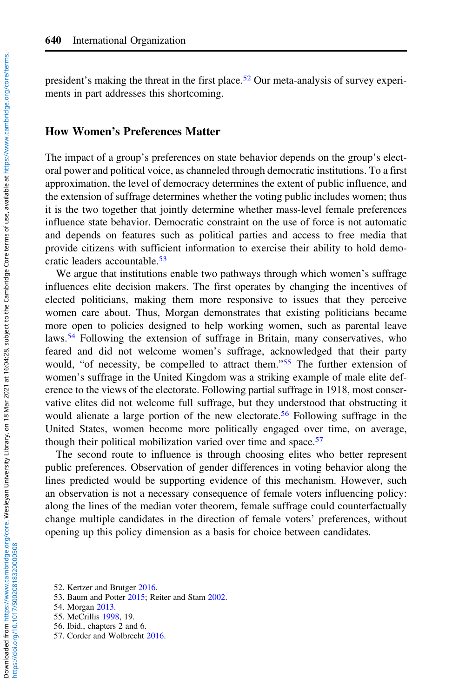president's making the threat in the first place.<sup>52</sup> Our meta-analysis of survey experiments in part addresses this shortcoming.

#### How Women's Preferences Matter

The impact of a group's preferences on state behavior depends on the group's electoral power and political voice, as channeled through democratic institutions. To a first approximation, the level of democracy determines the extent of public influence, and the extension of suffrage determines whether the voting public includes women; thus it is the two together that jointly determine whether mass-level female preferences influence state behavior. Democratic constraint on the use of force is not automatic and depends on features such as political parties and access to free media that provide citizens with sufficient information to exercise their ability to hold democratic leaders accountable.<sup>53</sup>

We argue that institutions enable two pathways through which women's suffrage influences elite decision makers. The first operates by changing the incentives of elected politicians, making them more responsive to issues that they perceive women care about. Thus, Morgan demonstrates that existing politicians became more open to policies designed to help working women, such as parental leave laws.<sup>54</sup> Following the extension of suffrage in Britain, many conservatives, who feared and did not welcome women's suffrage, acknowledged that their party would, "of necessity, be compelled to attract them."<sup>55</sup> The further extension of women's suffrage in the United Kingdom was a striking example of male elite deference to the views of the electorate. Following partial suffrage in 1918, most conservative elites did not welcome full suffrage, but they understood that obstructing it would alienate a large portion of the new electorate.<sup>56</sup> Following suffrage in the United States, women become more politically engaged over time, on average, though their political mobilization varied over time and space.<sup>57</sup>

The second route to influence is through choosing elites who better represent public preferences. Observation of gender differences in voting behavior along the lines predicted would be supporting evidence of this mechanism. However, such an observation is not a necessary consequence of female voters influencing policy: along the lines of the median voter theorem, female suffrage could counterfactually change multiple candidates in the direction of female voters' preferences, without opening up this policy dimension as a basis for choice between candidates.

57. Corder and Wolbrecht [2016](#page-34-0).

<sup>52.</sup> Kertzer and Brutger [2016.](#page-35-0)

<sup>53.</sup> Baum and Potter [2015;](#page-34-0) Reiter and Stam [2002](#page-36-0).

<sup>54.</sup> Morgan [2013.](#page-35-0)

<sup>55.</sup> McCrillis [1998,](#page-35-0) 19.

<sup>56.</sup> Ibid., chapters 2 and 6.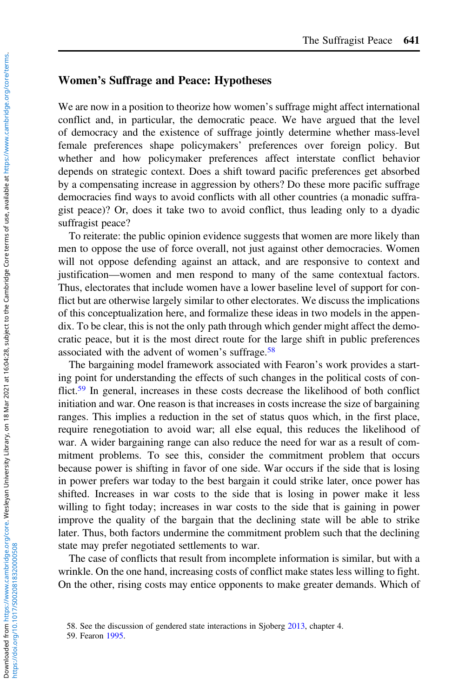## Women's Suffrage and Peace: Hypotheses

We are now in a position to theorize how women's suffrage might affect international conflict and, in particular, the democratic peace. We have argued that the level of democracy and the existence of suffrage jointly determine whether mass-level female preferences shape policymakers' preferences over foreign policy. But whether and how policymaker preferences affect interstate conflict behavior depends on strategic context. Does a shift toward pacific preferences get absorbed by a compensating increase in aggression by others? Do these more pacific suffrage democracies find ways to avoid conflicts with all other countries (a monadic suffragist peace)? Or, does it take two to avoid conflict, thus leading only to a dyadic suffragist peace?

To reiterate: the public opinion evidence suggests that women are more likely than men to oppose the use of force overall, not just against other democracies. Women will not oppose defending against an attack, and are responsive to context and justification—women and men respond to many of the same contextual factors. Thus, electorates that include women have a lower baseline level of support for conflict but are otherwise largely similar to other electorates. We discuss the implications of this conceptualization here, and formalize these ideas in two models in the appendix. To be clear, this is not the only path through which gender might affect the democratic peace, but it is the most direct route for the large shift in public preferences associated with the advent of women's suffrage.<sup>58</sup>

The bargaining model framework associated with Fearon's work provides a starting point for understanding the effects of such changes in the political costs of conflict.<sup>59</sup> In general, increases in these costs decrease the likelihood of both conflict initiation and war. One reason is that increases in costs increase the size of bargaining ranges. This implies a reduction in the set of status quos which, in the first place, require renegotiation to avoid war; all else equal, this reduces the likelihood of war. A wider bargaining range can also reduce the need for war as a result of commitment problems. To see this, consider the commitment problem that occurs because power is shifting in favor of one side. War occurs if the side that is losing in power prefers war today to the best bargain it could strike later, once power has shifted. Increases in war costs to the side that is losing in power make it less willing to fight today; increases in war costs to the side that is gaining in power improve the quality of the bargain that the declining state will be able to strike later. Thus, both factors undermine the commitment problem such that the declining state may prefer negotiated settlements to war.

The case of conflicts that result from incomplete information is similar, but with a wrinkle. On the one hand, increasing costs of conflict make states less willing to fight. On the other, rising costs may entice opponents to make greater demands. Which of

<sup>58.</sup> See the discussion of gendered state interactions in Sjoberg [2013](#page-36-0), chapter 4.

<sup>59.</sup> Fearon [1995.](#page-34-0)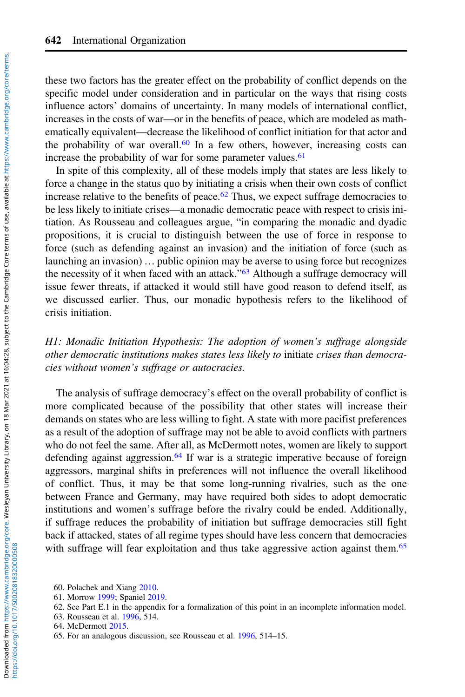these two factors has the greater effect on the probability of conflict depends on the specific model under consideration and in particular on the ways that rising costs influence actors' domains of uncertainty. In many models of international conflict, increases in the costs of war—or in the benefits of peace, which are modeled as mathematically equivalent—decrease the likelihood of conflict initiation for that actor and the probability of war overall.<sup>60</sup> In a few others, however, increasing costs can increase the probability of war for some parameter values. $61$ 

In spite of this complexity, all of these models imply that states are less likely to force a change in the status quo by initiating a crisis when their own costs of conflict increase relative to the benefits of peace. $62$  Thus, we expect suffrage democracies to be less likely to initiate crises—a monadic democratic peace with respect to crisis initiation. As Rousseau and colleagues argue, "in comparing the monadic and dyadic propositions, it is crucial to distinguish between the use of force in response to force (such as defending against an invasion) and the initiation of force (such as launching an invasion) … public opinion may be averse to using force but recognizes the necessity of it when faced with an attack."<sup>63</sup> Although a suffrage democracy will issue fewer threats, if attacked it would still have good reason to defend itself, as we discussed earlier. Thus, our monadic hypothesis refers to the likelihood of crisis initiation.

H1: Monadic Initiation Hypothesis: The adoption of women's suffrage alongside other democratic institutions makes states less likely to initiate crises than democracies without women's suffrage or autocracies.

The analysis of suffrage democracy's effect on the overall probability of conflict is more complicated because of the possibility that other states will increase their demands on states who are less willing to fight. A state with more pacifist preferences as a result of the adoption of suffrage may not be able to avoid conflicts with partners who do not feel the same. After all, as McDermott notes, women are likely to support defending against aggression.<sup>64</sup> If war is a strategic imperative because of foreign aggressors, marginal shifts in preferences will not influence the overall likelihood of conflict. Thus, it may be that some long-running rivalries, such as the one between France and Germany, may have required both sides to adopt democratic institutions and women's suffrage before the rivalry could be ended. Additionally, if suffrage reduces the probability of initiation but suffrage democracies still fight back if attacked, states of all regime types should have less concern that democracies with suffrage will fear exploitation and thus take aggressive action against them.<sup>65</sup>

https://doi.org/10.1017/S0020818320000508

<sup>60.</sup> Polachek and Xiang [2010](#page-36-0).

<sup>61.</sup> Morrow [1999;](#page-35-0) Spaniel [2019](#page-36-0).

<sup>62.</sup> See Part E.1 in the appendix for a formalization of this point in an incomplete information model.

<sup>63.</sup> Rousseau et al. [1996](#page-36-0), 514.

<sup>64.</sup> McDermott [2015](#page-35-0).

<sup>65.</sup> For an analogous discussion, see Rousseau et al. [1996,](#page-36-0) 514–15.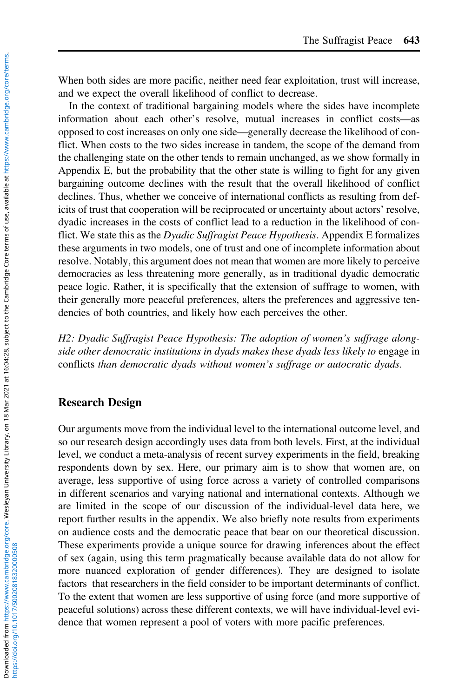When both sides are more pacific, neither need fear exploitation, trust will increase, and we expect the overall likelihood of conflict to decrease.

In the context of traditional bargaining models where the sides have incomplete information about each other's resolve, mutual increases in conflict costs—as opposed to cost increases on only one side—generally decrease the likelihood of conflict. When costs to the two sides increase in tandem, the scope of the demand from the challenging state on the other tends to remain unchanged, as we show formally in Appendix E, but the probability that the other state is willing to fight for any given bargaining outcome declines with the result that the overall likelihood of conflict declines. Thus, whether we conceive of international conflicts as resulting from deficits of trust that cooperation will be reciprocated or uncertainty about actors' resolve, dyadic increases in the costs of conflict lead to a reduction in the likelihood of conflict. We state this as the *Dyadic Suffragist Peace Hypothesis*. Appendix E formalizes these arguments in two models, one of trust and one of incomplete information about resolve. Notably, this argument does not mean that women are more likely to perceive democracies as less threatening more generally, as in traditional dyadic democratic peace logic. Rather, it is specifically that the extension of suffrage to women, with their generally more peaceful preferences, alters the preferences and aggressive tendencies of both countries, and likely how each perceives the other.

H2: Dyadic Suffragist Peace Hypothesis: The adoption of women's suffrage alongside other democratic institutions in dyads makes these dyads less likely to engage in conflicts than democratic dyads without women's suffrage or autocratic dyads.

# Research Design

Our arguments move from the individual level to the international outcome level, and so our research design accordingly uses data from both levels. First, at the individual level, we conduct a meta-analysis of recent survey experiments in the field, breaking respondents down by sex. Here, our primary aim is to show that women are, on average, less supportive of using force across a variety of controlled comparisons in different scenarios and varying national and international contexts. Although we are limited in the scope of our discussion of the individual-level data here, we report further results in the appendix. We also briefly note results from experiments on audience costs and the democratic peace that bear on our theoretical discussion. These experiments provide a unique source for drawing inferences about the effect of sex (again, using this term pragmatically because available data do not allow for more nuanced exploration of gender differences). They are designed to isolate factors that researchers in the field consider to be important determinants of conflict. To the extent that women are less supportive of using force (and more supportive of peaceful solutions) across these different contexts, we will have individual-level evidence that women represent a pool of voters with more pacific preferences.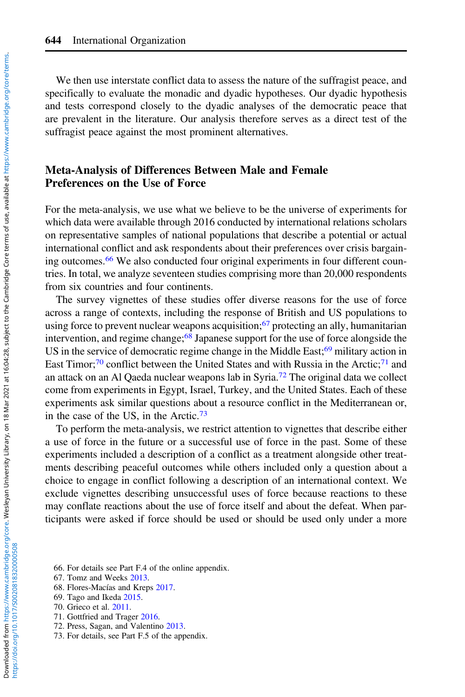We then use interstate conflict data to assess the nature of the suffragist peace, and specifically to evaluate the monadic and dyadic hypotheses. Our dyadic hypothesis and tests correspond closely to the dyadic analyses of the democratic peace that are prevalent in the literature. Our analysis therefore serves as a direct test of the suffragist peace against the most prominent alternatives.

# Meta-Analysis of Differences Between Male and Female Preferences on the Use of Force

For the meta-analysis, we use what we believe to be the universe of experiments for which data were available through 2016 conducted by international relations scholars on representative samples of national populations that describe a potential or actual international conflict and ask respondents about their preferences over crisis bargaining outcomes.<sup>66</sup> We also conducted four original experiments in four different countries. In total, we analyze seventeen studies comprising more than 20,000 respondents from six countries and four continents.

The survey vignettes of these studies offer diverse reasons for the use of force across a range of contexts, including the response of British and US populations to using force to prevent nuclear weapons acquisition;<sup>67</sup> protecting an ally, humanitarian intervention, and regime change;<sup>68</sup> Japanese support for the use of force alongside the US in the service of democratic regime change in the Middle East;<sup>69</sup> military action in East Timor;<sup>70</sup> conflict between the United States and with Russia in the Arctic;<sup>71</sup> and an attack on an Al Qaeda nuclear weapons lab in Syria.<sup>72</sup> The original data we collect come from experiments in Egypt, Israel, Turkey, and the United States. Each of these experiments ask similar questions about a resource conflict in the Mediterranean or, in the case of the US, in the Arctic.<sup>73</sup>

To perform the meta-analysis, we restrict attention to vignettes that describe either a use of force in the future or a successful use of force in the past. Some of these experiments included a description of a conflict as a treatment alongside other treatments describing peaceful outcomes while others included only a question about a choice to engage in conflict following a description of an international context. We exclude vignettes describing unsuccessful uses of force because reactions to these may conflate reactions about the use of force itself and about the defeat. When participants were asked if force should be used or should be used only under a more

- 66. For details see Part F.4 of the online appendix.
- 67. Tomz and Weeks [2013.](#page-37-0)
- 68. Flores-Macías and Kreps [2017.](#page-34-0)
- 69. Tago and Ikeda [2015.](#page-36-0)
- 70. Grieco et al. [2011](#page-35-0).
- 71. Gottfried and Trager [2016.](#page-35-0)
- 72. Press, Sagan, and Valentino [2013](#page-36-0).
- 73. For details, see Part F.5 of the appendix.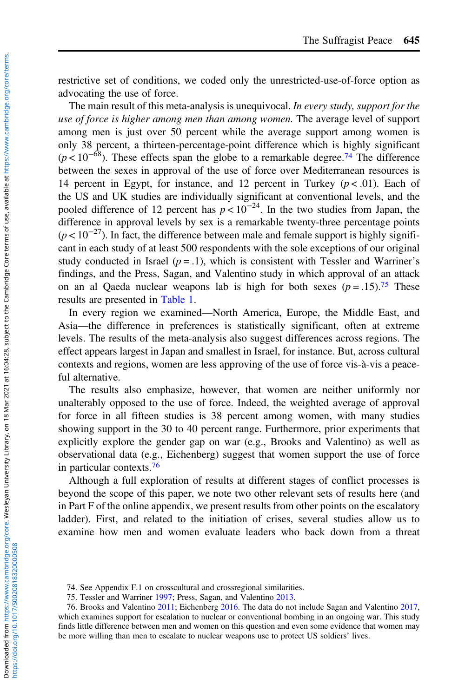restrictive set of conditions, we coded only the unrestricted-use-of-force option as advocating the use of force.

The main result of this meta-analysis is unequivocal. In every study, support for the use of force is higher among men than among women. The average level of support among men is just over 50 percent while the average support among women is only 38 percent, a thirteen-percentage-point difference which is highly significant  $(p < 10^{-68})$ . These effects span the globe to a remarkable degree.<sup>74</sup> The difference between the sexes in approval of the use of force over Mediterranean resources is 14 percent in Egypt, for instance, and 12 percent in Turkey  $(p < .01)$ . Each of the US and UK studies are individually significant at conventional levels, and the pooled difference of 12 percent has  $p < 10^{-24}$ . In the two studies from Japan, the difference in approval levels by sex is a remarkable twenty-three percentage points  $(p < 10^{-27})$ . In fact, the difference between male and female support is highly significant in each study of at least 500 respondents with the sole exceptions of our original study conducted in Israel  $(p = .1)$ , which is consistent with Tessler and Warriner's findings, and the Press, Sagan, and Valentino study in which approval of an attack on an al Qaeda nuclear weapons lab is high for both sexes  $(p=.15).^{75}$  These results are presented in [Table 1.](#page-13-0)

In every region we examined—North America, Europe, the Middle East, and Asia—the difference in preferences is statistically significant, often at extreme levels. The results of the meta-analysis also suggest differences across regions. The effect appears largest in Japan and smallest in Israel, for instance. But, across cultural contexts and regions, women are less approving of the use of force vis-à-vis a peaceful alternative.

The results also emphasize, however, that women are neither uniformly nor unalterably opposed to the use of force. Indeed, the weighted average of approval for force in all fifteen studies is 38 percent among women, with many studies showing support in the 30 to 40 percent range. Furthermore, prior experiments that explicitly explore the gender gap on war (e.g., Brooks and Valentino) as well as observational data (e.g., Eichenberg) suggest that women support the use of force in particular contexts.<sup>76</sup>

Although a full exploration of results at different stages of conflict processes is beyond the scope of this paper, we note two other relevant sets of results here (and in Part F of the online appendix, we present results from other points on the escalatory ladder). First, and related to the initiation of crises, several studies allow us to examine how men and women evaluate leaders who back down from a threat

<sup>74.</sup> See Appendix F.1 on crosscultural and crossregional similarities.

<sup>75.</sup> Tessler and Warriner [1997;](#page-36-0) Press, Sagan, and Valentino [2013.](#page-36-0)

<sup>76.</sup> Brooks and Valentino [2011](#page-34-0); Eichenberg [2016](#page-34-0). The data do not include Sagan and Valentino [2017](#page-36-0), which examines support for escalation to nuclear or conventional bombing in an ongoing war. This study finds little difference between men and women on this question and even some evidence that women may be more willing than men to escalate to nuclear weapons use to protect US soldiers' lives.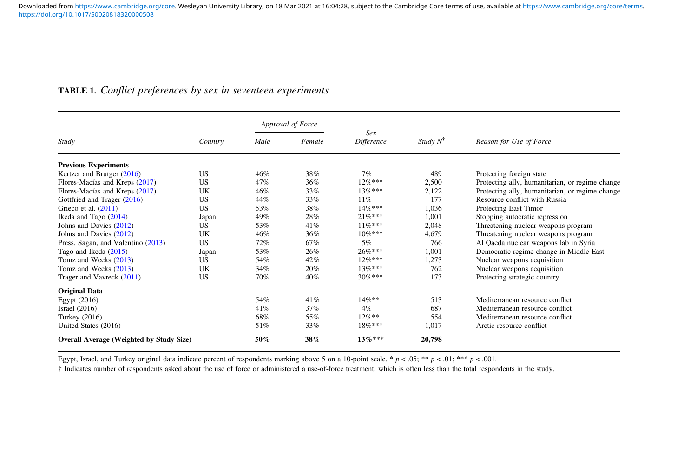| Approval of Force                               |           |      |        |                   |                      |                                                 |
|-------------------------------------------------|-----------|------|--------|-------------------|----------------------|-------------------------------------------------|
| Study                                           | Country   | Male | Female | Sex<br>Difference | Study N <sup>†</sup> | Reason for Use of Force                         |
| <b>Previous Experiments</b>                     |           |      |        |                   |                      |                                                 |
| Kertzer and Brutger (2016)                      | <b>US</b> | 46%  | 38%    | 7%                | 489                  | Protecting foreign state                        |
| Flores-Macías and Kreps (2017)                  | <b>US</b> | 47%  | 36%    | $12\%***$         | 2,500                | Protecting ally, humanitarian, or regime change |
| Flores-Macías and Kreps (2017)                  | UK        | 46%  | 33%    | $13%***$          | 2,122                | Protecting ally, humanitarian, or regime change |
| Gottfried and Trager (2016)                     | <b>US</b> | 44%  | 33%    | $11\%$            | 177                  | Resource conflict with Russia                   |
| Grieco et al. (2011)                            | <b>US</b> | 53%  | 38%    | $14\%***$         | 1,036                | Protecting East Timor                           |
| Ikeda and Tago (2014)                           | Japan     | 49%  | 28%    | $21\%***$         | 1,001                | Stopping autocratic repression                  |
| Johns and Davies (2012)                         | <b>US</b> | 53%  | 41%    | $11\%***$         | 2,048                | Threatening nuclear weapons program             |
| Johns and Davies (2012)                         | UK        | 46%  | 36%    | $10\%***$         | 4,679                | Threatening nuclear weapons program             |
| Press, Sagan, and Valentino (2013)              | <b>US</b> | 72%  | 67%    | 5%                | 766                  | Al Qaeda nuclear weapons lab in Syria           |
| Tago and Ikeda $(2015)$                         | Japan     | 53%  | 26%    | $26\%***$         | 1,001                | Democratic regime change in Middle East         |
| Tomz and Weeks (2013)                           | <b>US</b> | 54%  | 42%    | $12\%***$         | 1,273                | Nuclear weapons acquisition                     |
| Tomz and Weeks (2013)                           | UK        | 34%  | 20%    | $13%***$          | 762                  | Nuclear weapons acquisition                     |
| Trager and Vavreck (2011)                       | <b>US</b> | 70%  | 40%    | $30\%***$         | 173                  | Protecting strategic country                    |
| <b>Original Data</b>                            |           |      |        |                   |                      |                                                 |
| Egypt (2016)                                    |           | 54%  | 41%    | $14\%***$         | 513                  | Mediterranean resource conflict                 |
| Israel $(2016)$                                 |           | 41%  | 37%    | $4\%$             | 687                  | Mediterranean resource conflict                 |
| <b>Turkey</b> (2016)                            |           | 68%  | 55%    | $12\%$ **         | 554                  | Mediterranean resource conflict                 |
| United States (2016)                            |           | 51%  | 33%    | $18\%***$         | 1,017                | Arctic resource conflict                        |
| <b>Overall Average (Weighted by Study Size)</b> |           | 50%  | 38%    | $13\%***$         | 20,798               |                                                 |

## <span id="page-13-0"></span>TABLE 1. Conflict preferences by sex in seventeen experiments

Egypt, Israel, and Turkey original data indicate percent of respondents marking above 5 on a 10-point scale. \*  $p < .05$ ; \*\*  $p < .01$ ; \*\*\*  $p < .001$ .

† Indicates number of respondents asked about the use of force or administered <sup>a</sup> use-of-force treatment, which is often less than the total respondents in the study.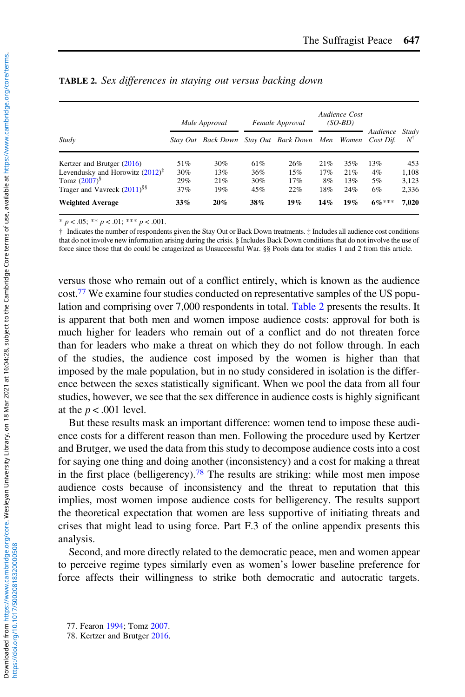|                                      | Male Approval |                    | Female Approval |                              | Audience Cost<br>$(SO-BD)$ |     |                       |                        |
|--------------------------------------|---------------|--------------------|-----------------|------------------------------|----------------------------|-----|-----------------------|------------------------|
| Study                                |               | Stay Out Back Down |                 | Stay Out Back Down Men Women |                            |     | Audience<br>Cost Dif. | Study<br>$N^{\dagger}$ |
| Kertzer and Brutger (2016)           | 51%           | 30%                | 61%             | 26%                          | 21%                        | 35% | 13%                   | 453                    |
| Levendusky and Horowitz $(2012)^{T}$ | 30%           | 13%                | 36%             | 15%                          | 17%                        | 21% | $4\%$                 | 1,108                  |
| Tomz $(2007)^8$                      | 29%           | 21%                | 30%             | 17%                          | 8%                         | 13% | $5\%$                 | 3.123                  |
| Trager and Vavreck $(2011)^{88}$     | 37%           | 19%                | 45%             | 22%                          | 18%                        | 24% | 6%                    | 2,336                  |
| <b>Weighted Average</b>              | 33%           | 20%                | 38%             | 19%                          | 14%                        | 19% | $6\%***$              | 7,020                  |

TABLE 2. Sex differences in staying out versus backing down

\*  $p < .05$ ; \*\*  $p < .01$ ; \*\*\*  $p < .001$ .

† Indicates the number of respondents given the Stay Out or Back Down treatments. ‡ Includes all audience cost conditions that do not involve new information arising during the crisis. § Includes Back Down conditions that do not involve the use of force since those that do could be catagerized as Unsuccessful War. §§ Pools data for studies 1 and 2 from this article.

versus those who remain out of a conflict entirely, which is known as the audience cost.<sup>77</sup> We examine four studies conducted on representative samples of the US population and comprising over 7,000 respondents in total. Table 2 presents the results. It is apparent that both men and women impose audience costs: approval for both is much higher for leaders who remain out of a conflict and do not threaten force than for leaders who make a threat on which they do not follow through. In each of the studies, the audience cost imposed by the women is higher than that imposed by the male population, but in no study considered in isolation is the difference between the sexes statistically significant. When we pool the data from all four studies, however, we see that the sex difference in audience costs is highly significant at the  $p < .001$  level.

But these results mask an important difference: women tend to impose these audience costs for a different reason than men. Following the procedure used by Kertzer and Brutger, we used the data from this study to decompose audience costs into a cost for saying one thing and doing another (inconsistency) and a cost for making a threat in the first place (belligerency).<sup>78</sup> The results are striking: while most men impose audience costs because of inconsistency and the threat to reputation that this implies, most women impose audience costs for belligerency. The results support the theoretical expectation that women are less supportive of initiating threats and crises that might lead to using force. Part F.3 of the online appendix presents this analysis.

Second, and more directly related to the democratic peace, men and women appear to perceive regime types similarly even as women's lower baseline preference for force affects their willingness to strike both democratic and autocratic targets.

<sup>77.</sup> Fearon [1994;](#page-34-0) Tomz [2007.](#page-37-0)

<sup>78.</sup> Kertzer and Brutger [2016.](#page-35-0)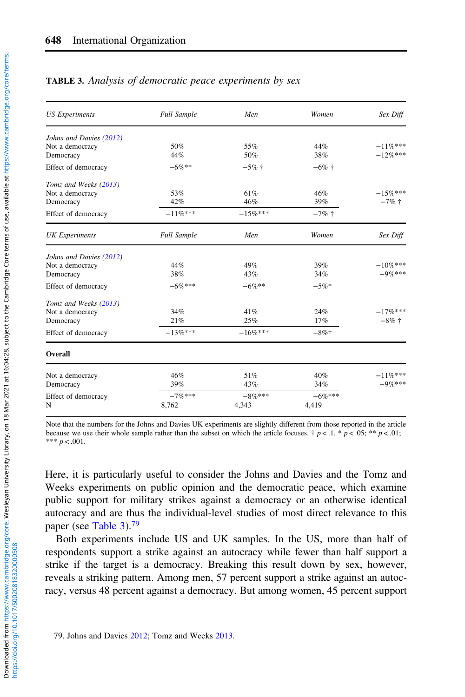| <b>US</b> Experiments   | <b>Full Sample</b> | Men        | Women     | Sex Diff   |  |
|-------------------------|--------------------|------------|-----------|------------|--|
| Johns and Davies (2012) |                    |            |           |            |  |
| Not a democracy         | 50%                | 55%        | 44%       | $-11\%***$ |  |
| Democracy               | 44%                | 50%        | 38%       | $-12%***$  |  |
| Effect of democracy     | $-6\%$ **          | $-5\% +$   | $-6\% +$  |            |  |
| Tomz and Weeks (2013)   |                    |            |           |            |  |
| Not a democracy         | 53%                | 61%        | 46%       | $-15%$ *** |  |
| Democracy               | 42%                | 46%        | 39%       | $-7\%$ †   |  |
| Effect of democracy     | $-11\%***$         | $-15%$ *** | $-7\%$ †  |            |  |
| <b>UK</b> Experiments   | <b>Full Sample</b> | Men        | Women     | Sex Diff   |  |
| Johns and Davies (2012) |                    |            |           |            |  |
| Not a democracy         | 44%                | 49%        | 39%       | $-10\%***$ |  |
| Democracy               | 38%                | 43%        | 34%       | $-9\%***$  |  |
| Effect of democracy     | $-6\%***$          | $-6\%$ **  | $-5\%$ *  |            |  |
| Tomz and Weeks (2013)   |                    |            |           |            |  |
| Not a democracy         | 34%                | 41%        | 24%       | $-17%$ *** |  |
| Democracy               | 21%                | 25%        | 17%       | $-8\%$ †   |  |
| Effect of democracy     | $-13%***$          | $-16\%***$ | $-8%$ †   |            |  |
| Overall                 |                    |            |           |            |  |
| Not a democracy         | 46%                | 51%        | 40%       | $-11\%***$ |  |
| Democracy               | 39%                | 43%        | 34%       | $-9\%***$  |  |
| Effect of democracy     | $-7%***$           | $-8\%***$  | $-6\%***$ |            |  |
| N                       | 8,762              | 4,343      | 4,419     |            |  |

#### TABLE 3. Analysis of democratic peace experiments by sex

Note that the numbers for the Johns and Davies UK experiments are slightly different from those reported in the article because we use their whole sample rather than the subset on which the article focuses.  $\frac{1}{7}p < 0.1$ ;  $\frac{k}{p}p < 0.01$ ; \*\*\*  $p < .001$ .

Here, it is particularly useful to consider the Johns and Davies and the Tomz and Weeks experiments on public opinion and the democratic peace, which examine public support for military strikes against a democracy or an otherwise identical autocracy and are thus the individual-level studies of most direct relevance to this paper (see Table 3).<sup>79</sup>

Both experiments include US and UK samples. In the US, more than half of respondents support a strike against an autocracy while fewer than half support a strike if the target is a democracy. Breaking this result down by sex, however, reveals a striking pattern. Among men, 57 percent support a strike against an autocracy, versus 48 percent against a democracy. But among women, 45 percent support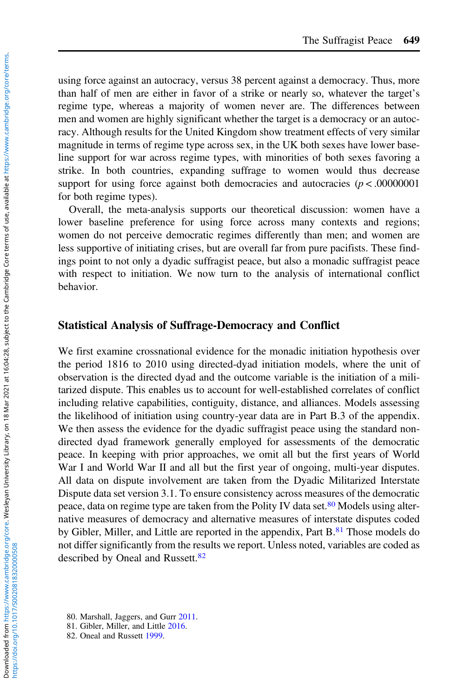using force against an autocracy, versus 38 percent against a democracy. Thus, more than half of men are either in favor of a strike or nearly so, whatever the target's regime type, whereas a majority of women never are. The differences between men and women are highly significant whether the target is a democracy or an autocracy. Although results for the United Kingdom show treatment effects of very similar magnitude in terms of regime type across sex, in the UK both sexes have lower baseline support for war across regime types, with minorities of both sexes favoring a strike. In both countries, expanding suffrage to women would thus decrease support for using force against both democracies and autocracies ( $p < .00000001$ ) for both regime types).

Overall, the meta-analysis supports our theoretical discussion: women have a lower baseline preference for using force across many contexts and regions; women do not perceive democratic regimes differently than men; and women are less supportive of initiating crises, but are overall far from pure pacifists. These findings point to not only a dyadic suffragist peace, but also a monadic suffragist peace with respect to initiation. We now turn to the analysis of international conflict behavior.

# Statistical Analysis of Suffrage-Democracy and Conflict

We first examine crossnational evidence for the monadic initiation hypothesis over the period 1816 to 2010 using directed-dyad initiation models, where the unit of observation is the directed dyad and the outcome variable is the initiation of a militarized dispute. This enables us to account for well-established correlates of conflict including relative capabilities, contiguity, distance, and alliances. Models assessing the likelihood of initiation using country-year data are in Part B.3 of the appendix. We then assess the evidence for the dyadic suffragist peace using the standard nondirected dyad framework generally employed for assessments of the democratic peace. In keeping with prior approaches, we omit all but the first years of World War I and World War II and all but the first year of ongoing, multi-year disputes. All data on dispute involvement are taken from the Dyadic Militarized Interstate Dispute data set version 3.1. To ensure consistency across measures of the democratic peace, data on regime type are taken from the Polity IV data set.<sup>80</sup> Models using alternative measures of democracy and alternative measures of interstate disputes coded by Gibler, Miller, and Little are reported in the appendix, Part B.<sup>81</sup> Those models do not differ significantly from the results we report. Unless noted, variables are coded as described by Oneal and Russett.<sup>82</sup>

- 80. Marshall, Jaggers, and Gurr [2011.](#page-35-0)
- 81. Gibler, Miller, and Little [2016](#page-35-0).
- 82. Oneal and Russett [1999](#page-36-0).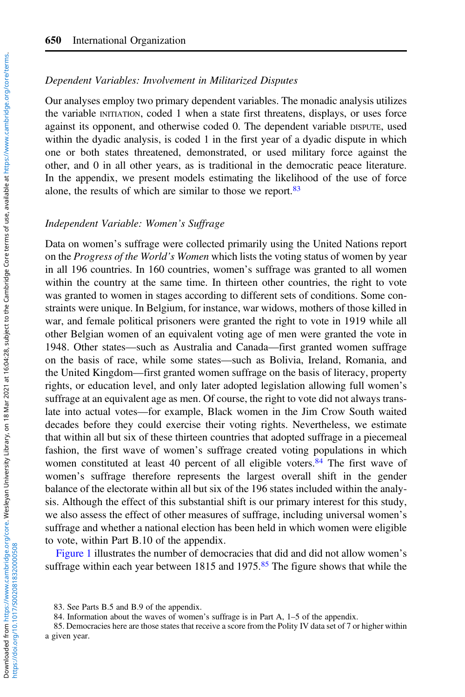#### Dependent Variables: Involvement in Militarized Disputes

Our analyses employ two primary dependent variables. The monadic analysis utilizes the variable INITIATION, coded 1 when a state first threatens, displays, or uses force against its opponent, and otherwise coded 0. The dependent variable DISPUTE, used within the dyadic analysis, is coded 1 in the first year of a dyadic dispute in which one or both states threatened, demonstrated, or used military force against the other, and 0 in all other years, as is traditional in the democratic peace literature. In the appendix, we present models estimating the likelihood of the use of force alone, the results of which are similar to those we report. $83$ 

#### Independent Variable: Women's Suffrage

Data on women's suffrage were collected primarily using the United Nations report on the *Progress of the World's Women* which lists the voting status of women by year in all 196 countries. In 160 countries, women's suffrage was granted to all women within the country at the same time. In thirteen other countries, the right to vote was granted to women in stages according to different sets of conditions. Some constraints were unique. In Belgium, for instance, war widows, mothers of those killed in war, and female political prisoners were granted the right to vote in 1919 while all other Belgian women of an equivalent voting age of men were granted the vote in 1948. Other states—such as Australia and Canada—first granted women suffrage on the basis of race, while some states—such as Bolivia, Ireland, Romania, and the United Kingdom—first granted women suffrage on the basis of literacy, property rights, or education level, and only later adopted legislation allowing full women's suffrage at an equivalent age as men. Of course, the right to vote did not always translate into actual votes—for example, Black women in the Jim Crow South waited decades before they could exercise their voting rights. Nevertheless, we estimate that within all but six of these thirteen countries that adopted suffrage in a piecemeal fashion, the first wave of women's suffrage created voting populations in which women constituted at least 40 percent of all eligible voters. $84$  The first wave of women's suffrage therefore represents the largest overall shift in the gender balance of the electorate within all but six of the 196 states included within the analysis. Although the effect of this substantial shift is our primary interest for this study, we also assess the effect of other measures of suffrage, including universal women's suffrage and whether a national election has been held in which women were eligible to vote, within Part B.10 of the appendix.

[Figure 1](#page-18-0) illustrates the number of democracies that did and did not allow women's suffrage within each year between  $1815$  and  $1975.85$  The figure shows that while the

<sup>83.</sup> See Parts B.5 and B.9 of the appendix.

<sup>84.</sup> Information about the waves of women's suffrage is in Part A, 1–5 of the appendix.

<sup>85.</sup> Democracies here are those states that receive a score from the Polity IV data set of 7 or higher within a given year.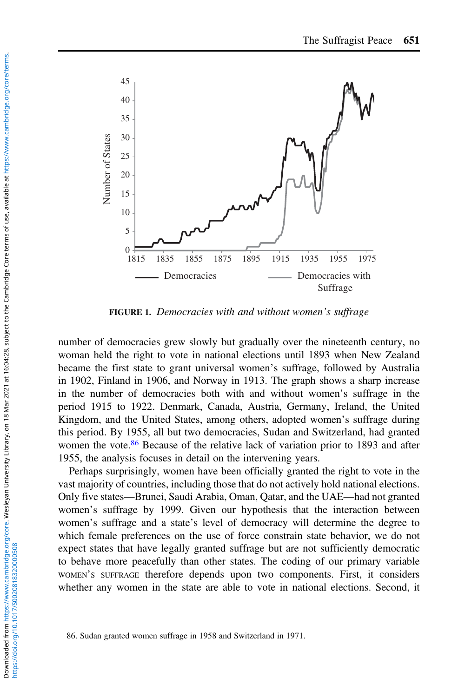<span id="page-18-0"></span>

FIGURE 1. Democracies with and without women's suffrage

number of democracies grew slowly but gradually over the nineteenth century, no woman held the right to vote in national elections until 1893 when New Zealand became the first state to grant universal women's suffrage, followed by Australia in 1902, Finland in 1906, and Norway in 1913. The graph shows a sharp increase in the number of democracies both with and without women's suffrage in the period 1915 to 1922. Denmark, Canada, Austria, Germany, Ireland, the United Kingdom, and the United States, among others, adopted women's suffrage during this period. By 1955, all but two democracies, Sudan and Switzerland, had granted women the vote.<sup>86</sup> Because of the relative lack of variation prior to 1893 and after 1955, the analysis focuses in detail on the intervening years.

Perhaps surprisingly, women have been officially granted the right to vote in the vast majority of countries, including those that do not actively hold national elections. Only five states—Brunei, Saudi Arabia, Oman, Qatar, and the UAE—had not granted women's suffrage by 1999. Given our hypothesis that the interaction between women's suffrage and a state's level of democracy will determine the degree to which female preferences on the use of force constrain state behavior, we do not expect states that have legally granted suffrage but are not sufficiently democratic to behave more peacefully than other states. The coding of our primary variable WOMEN'S SUFFRAGE therefore depends upon two components. First, it considers whether any women in the state are able to vote in national elections. Second, it

https://doi.org/10.1017/S0020818320000508

<sup>86.</sup> Sudan granted women suffrage in 1958 and Switzerland in 1971.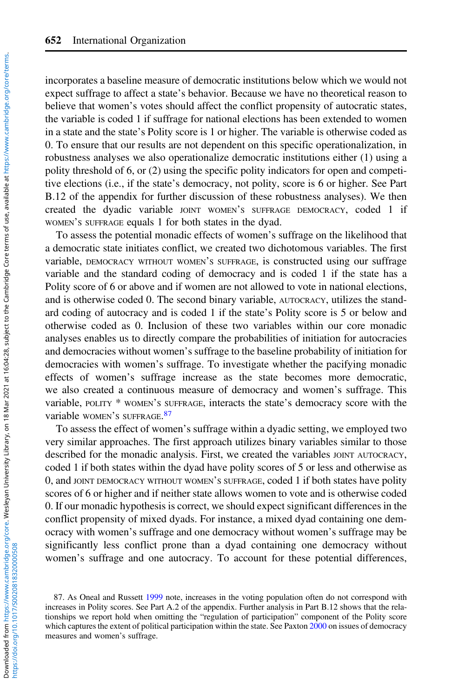incorporates a baseline measure of democratic institutions below which we would not expect suffrage to affect a state's behavior. Because we have no theoretical reason to believe that women's votes should affect the conflict propensity of autocratic states, the variable is coded 1 if suffrage for national elections has been extended to women in a state and the state's Polity score is 1 or higher. The variable is otherwise coded as 0. To ensure that our results are not dependent on this specific operationalization, in robustness analyses we also operationalize democratic institutions either (1) using a polity threshold of 6, or (2) using the specific polity indicators for open and competitive elections (i.e., if the state's democracy, not polity, score is 6 or higher. See Part B.12 of the appendix for further discussion of these robustness analyses). We then created the dyadic variable JOINT WOMEN'S SUFFRAGE DEMOCRACY, coded 1 if WOMEN'S SUFFRAGE equals 1 for both states in the dyad.

To assess the potential monadic effects of women's suffrage on the likelihood that a democratic state initiates conflict, we created two dichotomous variables. The first variable, DEMOCRACY WITHOUT WOMEN'S SUFFRAGE, is constructed using our suffrage variable and the standard coding of democracy and is coded 1 if the state has a Polity score of 6 or above and if women are not allowed to vote in national elections, and is otherwise coded 0. The second binary variable, AUTOCRACY, utilizes the standard coding of autocracy and is coded 1 if the state's Polity score is 5 or below and otherwise coded as 0. Inclusion of these two variables within our core monadic analyses enables us to directly compare the probabilities of initiation for autocracies and democracies without women's suffrage to the baseline probability of initiation for democracies with women's suffrage. To investigate whether the pacifying monadic effects of women's suffrage increase as the state becomes more democratic, we also created a continuous measure of democracy and women's suffrage. This variable, POLITY \* WOMEN'S SUFFRAGE, interacts the state's democracy score with the variable women's suffrage.<sup>87</sup>

To assess the effect of women's suffrage within a dyadic setting, we employed two very similar approaches. The first approach utilizes binary variables similar to those described for the monadic analysis. First, we created the variables JOINT AUTOCRACY, coded 1 if both states within the dyad have polity scores of 5 or less and otherwise as 0, and JOINT DEMOCRACY WITHOUT WOMEN'S SUFFRAGE, coded 1 if both states have polity scores of 6 or higher and if neither state allows women to vote and is otherwise coded 0. If our monadic hypothesis is correct, we should expect significant differences in the conflict propensity of mixed dyads. For instance, a mixed dyad containing one democracy with women's suffrage and one democracy without women's suffrage may be significantly less conflict prone than a dyad containing one democracy without women's suffrage and one autocracy. To account for these potential differences,

<sup>87.</sup> As Oneal and Russett [1999](#page-36-0) note, increases in the voting population often do not correspond with increases in Polity scores. See Part A.2 of the appendix. Further analysis in Part B.12 shows that the relationships we report hold when omitting the "regulation of participation" component of the Polity score which captures the extent of political participation within the state. See Paxton [2000](#page-36-0) on issues of democracy measures and women's suffrage.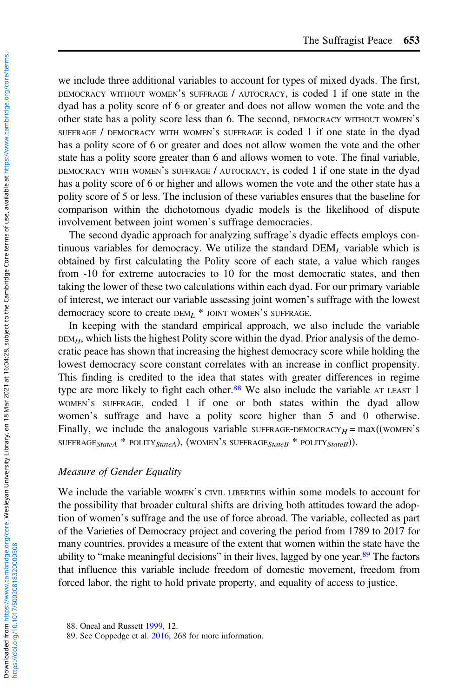we include three additional variables to account for types of mixed dyads. The first, DEMOCRACY WITHOUT WOMEN'S SUFFRAGE / AUTOCRACY, is coded 1 if one state in the dyad has a polity score of 6 or greater and does not allow women the vote and the other state has a polity score less than 6. The second, DEMOCRACY WITHOUT WOMEN'<sup>S</sup> SUFFRAGE / DEMOCRACY WITH WOMEN'S SUFFRAGE is coded 1 if one state in the dyad has a polity score of 6 or greater and does not allow women the vote and the other state has a polity score greater than 6 and allows women to vote. The final variable, DEMOCRACY WITH WOMEN'S SUFFRAGE / AUTOCRACY, is coded 1 if one state in the dyad has a polity score of 6 or higher and allows women the vote and the other state has a polity score of 5 or less. The inclusion of these variables ensures that the baseline for comparison within the dichotomous dyadic models is the likelihood of dispute involvement between joint women's suffrage democracies.

The second dyadic approach for analyzing suffrage's dyadic effects employs continuous variables for democracy. We utilize the standard  $DEM<sub>L</sub>$  variable which is obtained by first calculating the Polity score of each state, a value which ranges from -10 for extreme autocracies to 10 for the most democratic states, and then taking the lower of these two calculations within each dyad. For our primary variable of interest, we interact our variable assessing joint women's suffrage with the lowest democracy score to create  $DEM<sub>L</sub> * JONT WOMEN's SUFFRAGE.$ 

In keeping with the standard empirical approach, we also include the variable  $DEM<sub>H</sub>$ , which lists the highest Polity score within the dyad. Prior analysis of the democratic peace has shown that increasing the highest democracy score while holding the lowest democracy score constant correlates with an increase in conflict propensity. This finding is credited to the idea that states with greater differences in regime type are more likely to fight each other.<sup>88</sup> We also include the variable AT LEAST 1 WOMEN'S SUFFRAGE, coded 1 if one or both states within the dyad allow women's suffrage and have a polity score higher than 5 and 0 otherwise. Finally, we include the analogous variable SUFFRAGE-DEMOCRACY $_H = \max((\text{women's})$ SUFFRAGE<sub>StateA</sub> \* POLITY<sub>StateA</sub>), (WOMEN'S SUFFRAGE<sub>StateB</sub> \* POLITY<sub>StateB</sub>)).

#### Measure of Gender Equality

We include the variable women's CIVIL LIBERTIES within some models to account for the possibility that broader cultural shifts are driving both attitudes toward the adoption of women's suffrage and the use of force abroad. The variable, collected as part of the Varieties of Democracy project and covering the period from 1789 to 2017 for many countries, provides a measure of the extent that women within the state have the ability to "make meaningful decisions" in their lives, lagged by one year. $89$  The factors that influence this variable include freedom of domestic movement, freedom from forced labor, the right to hold private property, and equality of access to justice.

https://doi.org/10.1017/S0020818320000508

<sup>88.</sup> Oneal and Russett [1999](#page-36-0), 12.

<sup>89.</sup> See Coppedge et al. [2016,](#page-34-0) 268 for more information.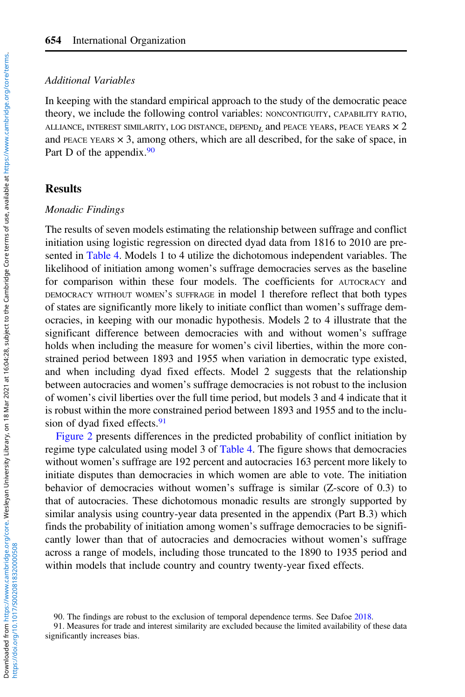#### Additional Variables

In keeping with the standard empirical approach to the study of the democratic peace theory, we include the following control variables: NONCONTIGUITY, CAPABILITY RATIO, ALLIANCE, INTEREST SIMILARITY, LOG DISTANCE, DEPEND<sub>I</sub> and PEACE YEARS, PEACE YEARS  $\times$  2 and PEACE YEARS  $\times$  3, among others, which are all described, for the sake of space, in Part D of the appendix. $90$ 

## **Results**

#### Monadic Findings

The results of seven models estimating the relationship between suffrage and conflict initiation using logistic regression on directed dyad data from 1816 to 2010 are presented in [Table 4.](#page-22-0) Models 1 to 4 utilize the dichotomous independent variables. The likelihood of initiation among women's suffrage democracies serves as the baseline for comparison within these four models. The coefficients for AUTOCRACY and DEMOCRACY WITHOUT WOMEN'S SUFFRAGE in model 1 therefore reflect that both types of states are significantly more likely to initiate conflict than women's suffrage democracies, in keeping with our monadic hypothesis. Models 2 to 4 illustrate that the significant difference between democracies with and without women's suffrage holds when including the measure for women's civil liberties, within the more constrained period between 1893 and 1955 when variation in democratic type existed, and when including dyad fixed effects. Model 2 suggests that the relationship between autocracies and women's suffrage democracies is not robust to the inclusion of women's civil liberties over the full time period, but models 3 and 4 indicate that it is robust within the more constrained period between 1893 and 1955 and to the inclusion of dyad fixed effects.<sup>91</sup>

[Figure 2](#page-23-0) presents differences in the predicted probability of conflict initiation by regime type calculated using model 3 of [Table 4](#page-22-0). The figure shows that democracies without women's suffrage are 192 percent and autocracies 163 percent more likely to initiate disputes than democracies in which women are able to vote. The initiation behavior of democracies without women's suffrage is similar (Z-score of 0.3) to that of autocracies. These dichotomous monadic results are strongly supported by similar analysis using country-year data presented in the appendix (Part B.3) which finds the probability of initiation among women's suffrage democracies to be significantly lower than that of autocracies and democracies without women's suffrage across a range of models, including those truncated to the 1890 to 1935 period and within models that include country and country twenty-year fixed effects.

<sup>90.</sup> The findings are robust to the exclusion of temporal dependence terms. See Dafoe [2018](#page-34-0).

<sup>91.</sup> Measures for trade and interest similarity are excluded because the limited availability of these data significantly increases bias.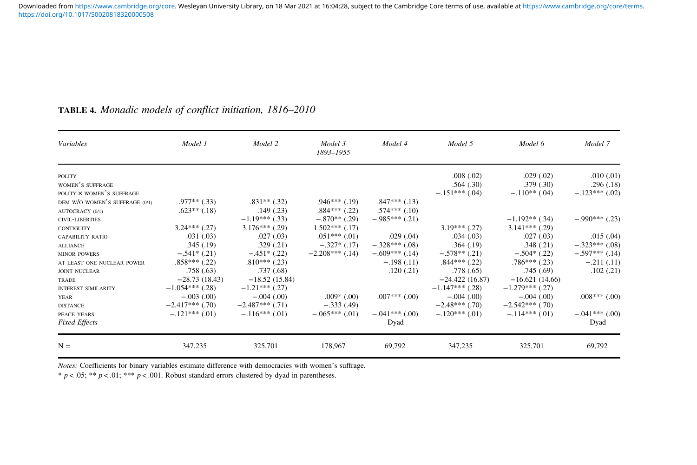| Variables                      | Model 1           | Model 2           | Model 3<br>1893-1955 | Model 4           | Model 5           | Model 6           | Model 7          |
|--------------------------------|-------------------|-------------------|----------------------|-------------------|-------------------|-------------------|------------------|
| <b>POLITY</b>                  |                   |                   |                      |                   | .008(.02)         | .029(.02)         | .010(.01)        |
| WOMEN'S SUFFRAGE               |                   |                   |                      |                   | .564(.30)         | .379(.30)         | .296(.18)        |
| POLITY X WOMEN'S SUFFRAGE      |                   |                   |                      |                   | $-.151***(.04)$   | $-.110**(.04)$    | $-.123***(.02)$  |
| DEM W/O WOMEN'S SUFFRAGE (0/1) | $.977**$ (.33)    | $.831**$ (.32)    | $.946***$ $(.19)$    | $.847***$ $(.13)$ |                   |                   |                  |
| AUTOCRACY (0/1)                | $.623**$ $(.18)$  | .149(.23)         | $.884***$ $(.22)$    | $.574***$ $(.10)$ |                   |                   |                  |
| <b>CIVIL-LIBERTIES</b>         |                   | $-1.19***$ (.33)  | $-.870**(.29)$       | $-.985***$ (.21)  |                   | $-1.192**$ (.34)  | $-.990***$ (.23) |
| <b>CONTIGUITY</b>              | $3.24***$ (.27)   | $3.176***$ (.29)  | $1.502***$ (.17)     |                   | $3.19***$ (.27)   | $3.141***$ (.29)  |                  |
| <b>CAPABILITY RATIO</b>        | .031(.03)         | .027(.03)         | $.051***$ $(.01)$    | .029(0.04)        | .034(.03)         | .027(.03)         | .015(.04)        |
| <b>ALLIANCE</b>                | .345(.19)         | .329(.21)         | $-.327*(.17)$        | $-.328***$ (.08)  | .364(.19)         | .348(.21)         | $-.323***$ (.08) |
| <b>MINOR POWERS</b>            | $-.541$ * (.21)   | $-.451$ * $(.22)$ | $-2.208***$ (.14)    | $-.609***$ (.14)  | $-.578**(.21)$    | $-.504*(.22)$     | $-.597***$ (.14) |
| AT LEAST ONE NUCLEAR POWER     | $.858***$ (.22)   | $.810***$ (.23)   |                      | $-.198(.11)$      | $.844***$ $(.22)$ | $.786***$ (.23)   | $-.211(.11)$     |
| <b>JOINT NUCLEAR</b>           | .758(.63)         | .737(.68)         |                      | .120(.21)         | .778(0.65)        | .745(.69)         | .102(.21)        |
| <b>TRADE</b>                   | $-28.73(18.43)$   | $-18.52(15.84)$   |                      |                   | $-24.422(16.87)$  | $-16.621(14.66)$  |                  |
| <b>INTEREST SIMILARITY</b>     | $-1.054***$ (.28) | $-1.21***$ (.27)  |                      |                   | $-1.147***$ (.28) | $-1.279***$ (.27) |                  |
| <b>YEAR</b>                    | $-.003(.00)$      | $-.004(.00)$      | $.009*(.00)$         | $.007***$ $(.00)$ | $-.004(.00)$      | $-.004(.00)$      | $.008***0.00$    |
| <b>DISTANCE</b>                | $-2.417***$ (.70) | $-2.487***$ (.71) | $-.333(.49)$         |                   | $-2.48***$ (.70)  | $-2.542***$ (.70) |                  |
| PEACE YEARS                    | $-.121***(.01)$   | $-.116***(01)$    | $-.065***(01)$       | $-.041***$ (.00)  | $-.120***(.01)$   | $-.114***$ (.01)  | $-.041***$ (.00) |
| <b>Fixed Effects</b>           |                   |                   |                      | Dyad              |                   |                   | Dyad             |
| $N =$                          | 347,235           | 325,701           | 178,967              | 69,792            | 347,235           | 325,701           | 69,792           |

# <span id="page-22-0"></span>TABLE 4. Monadic models of conflict initiation, 1816–2010

Notes: Coefficients for binary variables estimate difference with democracies with women's suffrage.

 $* p < .05; ** p < .01; *** p < .001$ . Robust standard errors clustered by dyad in parentheses.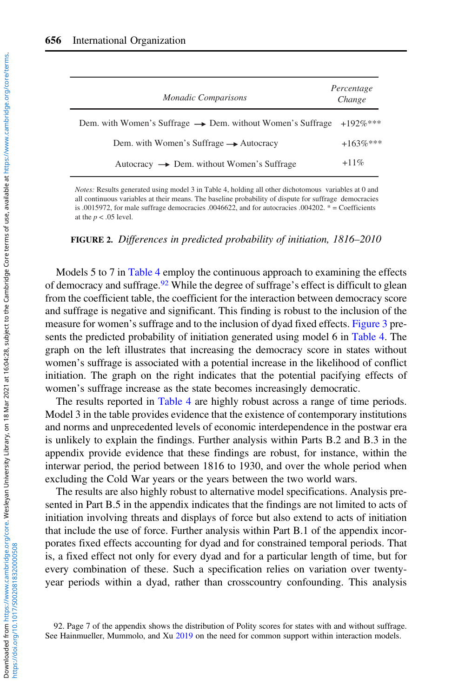<span id="page-23-0"></span>

| <i>Monadic Comparisons</i>                                             | Percentage<br>Change |
|------------------------------------------------------------------------|----------------------|
| Dem. with Women's Suffrage $\rightarrow$ Dem. without Women's Suffrage | $+192\%***$          |
| Dem. with Women's Suffrage $\rightarrow$ Autocracy                     | $+163\%***$          |
| Autocracy $\rightarrow$ Dem. without Women's Suffrage                  | $+11\%$              |

*Notes:* Results generated using model 3 in Table 4, holding all other dichotomous variables at 0 and all continuous variables at their means. The baseline probability of dispute for suffrage democracies is .0015972, for male suffrage democracies .0046622, and for autocracies .004202. \* = Coefficients at the  $p < .05$  level.

FIGURE 2. Differences in predicted probability of initiation, 1816–2010

Models 5 to 7 in [Table 4](#page-22-0) employ the continuous approach to examining the effects of democracy and suffrage.<sup>92</sup> While the degree of suffrage's effect is difficult to glean from the coefficient table, the coefficient for the interaction between democracy score and suffrage is negative and significant. This finding is robust to the inclusion of the measure for women's suffrage and to the inclusion of dyad fixed effects. [Figure 3](#page-24-0) presents the predicted probability of initiation generated using model 6 in [Table 4](#page-22-0). The graph on the left illustrates that increasing the democracy score in states without women's suffrage is associated with a potential increase in the likelihood of conflict initiation. The graph on the right indicates that the potential pacifying effects of women's suffrage increase as the state becomes increasingly democratic.

The results reported in [Table 4](#page-22-0) are highly robust across a range of time periods. Model 3 in the table provides evidence that the existence of contemporary institutions and norms and unprecedented levels of economic interdependence in the postwar era is unlikely to explain the findings. Further analysis within Parts B.2 and B.3 in the appendix provide evidence that these findings are robust, for instance, within the interwar period, the period between 1816 to 1930, and over the whole period when excluding the Cold War years or the years between the two world wars.

The results are also highly robust to alternative model specifications. Analysis presented in Part B.5 in the appendix indicates that the findings are not limited to acts of initiation involving threats and displays of force but also extend to acts of initiation that include the use of force. Further analysis within Part B.1 of the appendix incorporates fixed effects accounting for dyad and for constrained temporal periods. That is, a fixed effect not only for every dyad and for a particular length of time, but for every combination of these. Such a specification relies on variation over twentyyear periods within a dyad, rather than crosscountry confounding. This analysis

<sup>92.</sup> Page 7 of the appendix shows the distribution of Polity scores for states with and without suffrage. See Hainmueller, Mummolo, and Xu [2019](#page-35-0) on the need for common support within interaction models.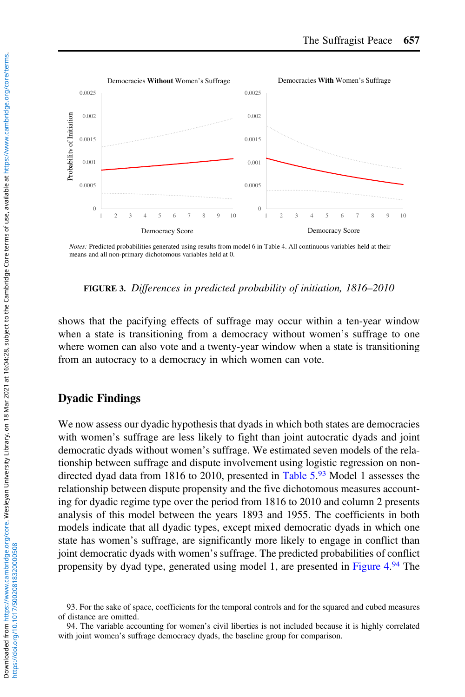<span id="page-24-0"></span>

*Notes:* Predicted probabilities generated using results from model 6 in Table 4. All continuous variables held at their means and all non-primary dichotomous variables held at 0.

FIGURE 3. Differences in predicted probability of initiation, 1816–2010

shows that the pacifying effects of suffrage may occur within a ten-year window when a state is transitioning from a democracy without women's suffrage to one where women can also vote and a twenty-year window when a state is transitioning from an autocracy to a democracy in which women can vote.

# Dyadic Findings

We now assess our dyadic hypothesis that dyads in which both states are democracies with women's suffrage are less likely to fight than joint autocratic dyads and joint democratic dyads without women's suffrage. We estimated seven models of the relationship between suffrage and dispute involvement using logistic regression on non-directed dyad data from 1816 to 2010, presented in [Table 5](#page-25-0).93 Model 1 assesses the relationship between dispute propensity and the five dichotomous measures accounting for dyadic regime type over the period from 1816 to 2010 and column 2 presents analysis of this model between the years 1893 and 1955. The coefficients in both models indicate that all dyadic types, except mixed democratic dyads in which one state has women's suffrage, are significantly more likely to engage in conflict than joint democratic dyads with women's suffrage. The predicted probabilities of conflict propensity by dyad type, generated using model 1, are presented in [Figure 4.](#page-26-0)94 The

<sup>93.</sup> For the sake of space, coefficients for the temporal controls and for the squared and cubed measures of distance are omitted.

<sup>94.</sup> The variable accounting for women's civil liberties is not included because it is highly correlated with joint women's suffrage democracy dyads, the baseline group for comparison.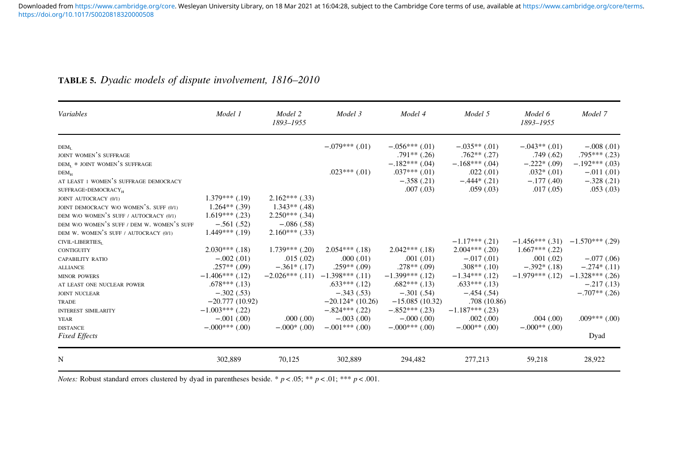<span id="page-25-0"></span>

| TABLE 5. Dyadic models of dispute involvement, 1816-2010 |  |  |  |
|----------------------------------------------------------|--|--|--|
|----------------------------------------------------------|--|--|--|

| Variables                                  | Model 1            | Model 2<br>1893-1955 | Model 3                             | Model 4           | Model 5           | Model 6<br>1893-1955 | Model 7                             |
|--------------------------------------------|--------------------|----------------------|-------------------------------------|-------------------|-------------------|----------------------|-------------------------------------|
| DEM <sub>r</sub>                           |                    |                      | $-.079***$ (.01)                    | $-.056***(01)$    | $-.035**(.01)$    | $-.043**(.01)$       | $-.008(.01)$                        |
| JOINT WOMEN'S SUFFRAGE                     |                    |                      |                                     | $.791**$ $(.26)$  | $.762**$ (.27)    | .749(.62)            | $.795***$ $(.23)$                   |
| DEM <sub>I</sub> * JOINT WOMEN'S SUFFRAGE  |                    |                      |                                     | $-.182***$ (.04)  | $-.168***$ (.04)  | $-.222*(.09)$        | $-.192***$ (.03)                    |
| DEM <sub>H</sub>                           |                    |                      | $.023***$ $(.01)$                   | $.037***$ $(.01)$ | .022(.01)         | $.032*(.01)$         | $-.011(.01)$                        |
| AT LEAST 1 WOMEN'S SUFFRAGE DEMOCRACY      |                    |                      |                                     | $-.358(.21)$      | $-.444*(.21)$     | $-.177(.40)$         | $-.328(.21)$                        |
| SUFFRAGE-DEMOCRACY <sub>H</sub>            |                    |                      |                                     | .007(.03)         | .059(.03)         | .017(.05)            | .053(.03)                           |
| JOINT AUTOCRACY (0/1)                      | $1.379***$ (.19)   | $2.162***$ (.33)     |                                     |                   |                   |                      |                                     |
| JOINT DEMOCRACY W/O WOMEN'S. SUFF (0/1)    | $1.264**$ (.39)    | $1.343**$ (.48)      |                                     |                   |                   |                      |                                     |
| DEM W/O WOMEN'S SUFF / AUTOCRACY (0/1)     | $1.619***$ (.23)   | $2.250***$ (.34)     |                                     |                   |                   |                      |                                     |
| DEM W/O WOMEN'S SUFF / DEM W. WOMEN'S SUFF | $-.561(.52)$       | $-.086(.58)$         |                                     |                   |                   |                      |                                     |
| DEM W. WOMEN'S SUFF / AUTOCRACY (0/1)      | $1.449***$ $(.19)$ | $2.160***$ (.33)     |                                     |                   |                   |                      |                                     |
| CIVIL-LIBERTIES <sub>L</sub>               |                    |                      |                                     |                   | $-1.17***$ (.21)  |                      | $-1.456***$ (.31) $-1.570***$ (.29) |
| <b>CONTIGUITY</b>                          | $2.030***$ (.18)   | $1.739***$ (.20)     | $2.054***$ (.18)                    | $2.042***$ (.18)  | $2.004***$ (.20)  | $1.667***$ (.22)     |                                     |
| <b>CAPABILITY RATIO</b>                    | $-.002(.01)$       | .015(.02)            | .000(.01)                           | .001(.01)         | $-.017(.01)$      | .001(.02)            | $-.077(.06)$                        |
| <b>ALLIANCE</b>                            | $.257**$ $(.09)$   | $-.361*(.17)$        | $.259**$ (.09)                      | $.278**$ (.09)    | $.308**$ (.10)    | $-.392*(.18)$        | $-.274*(.11)$                       |
| <b>MINOR POWERS</b>                        | $-1.406***$ (.12)  |                      | $-2.026***$ (.11) $-1.398***$ (.11) | $-1.399***$ (.12) | $-1.34***$ (.12)  |                      | $-1.979***$ (.12) $-1.328***$ (.26) |
| AT LEAST ONE NUCLEAR POWER                 | $.678***$ $(.13)$  |                      | $.633***$ $(.12)$                   | $.682***$ $(.13)$ | $.633***$ $(.13)$ |                      | $-.217(.13)$                        |
| <b>JOINT NUCLEAR</b>                       | $-.302(.53)$       |                      | $-.343(.53)$                        | $-.301(.54)$      | $-.454(.54)$      |                      | $-.707**(.26)$                      |
| <b>TRADE</b>                               | $-20.777(10.92)$   |                      | $-20.124*(10.26)$                   | $-15.085(10.32)$  | .708(10.86)       |                      |                                     |
| <b>INTEREST SIMILARITY</b>                 | $-1.003***$ (.22)  |                      | $-.824***$ (.22)                    | $-.852***$ (.23)  | $-1.187***$ (.23) |                      |                                     |
| <b>YEAR</b>                                | $-.001$ (.00)      | .000(.00)            | $-.003(.00)$                        | $-.000(.00)$      | .002(.00)         | .004(.00)            | $.009***$ (.00)                     |
| <b>DISTANCE</b>                            | $-.000***(00)$     | $-.000*(.00)$        | $-.001***$ (.00)                    | $-.000***000$     | $-.000**$ (.00)   | $-.000**$ (00)       |                                     |
| <b>Fixed Effects</b>                       |                    |                      |                                     |                   |                   |                      | Dyad                                |
| N                                          | 302,889            | 70,125               | 302,889                             | 294,482           | 277,213           | 59,218               | 28,922                              |

*Notes:* Robust standard errors clustered by dyad in parentheses beside. \*  $p < .05$ ; \*\*  $p < .01$ ; \*\*\*  $p < .001$ .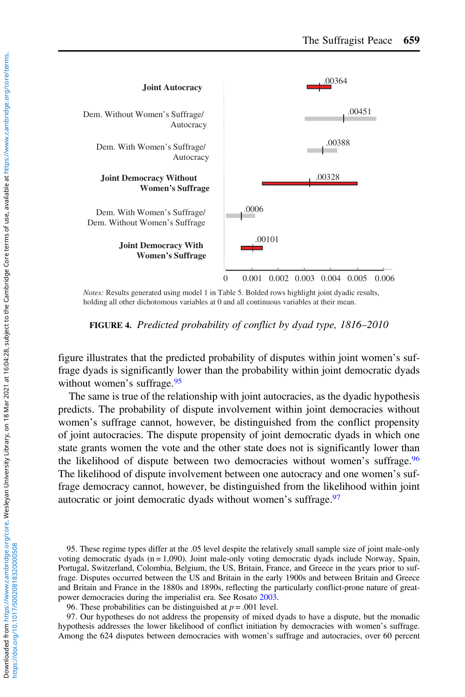<span id="page-26-0"></span>

*Notes:* Results generated using model 1 in Table 5. Bolded rows highlight joint dyadic results, holding all other dichotomous variables at 0 and all continuous variables at their mean.

FIGURE 4. Predicted probability of conflict by dyad type, 1816–2010

figure illustrates that the predicted probability of disputes within joint women's suffrage dyads is significantly lower than the probability within joint democratic dyads without women's suffrage.<sup>95</sup>

The same is true of the relationship with joint autocracies, as the dyadic hypothesis predicts. The probability of dispute involvement within joint democracies without women's suffrage cannot, however, be distinguished from the conflict propensity of joint autocracies. The dispute propensity of joint democratic dyads in which one state grants women the vote and the other state does not is significantly lower than the likelihood of dispute between two democracies without women's suffrage.<sup>96</sup> The likelihood of dispute involvement between one autocracy and one women's suffrage democracy cannot, however, be distinguished from the likelihood within joint autocratic or joint democratic dyads without women's suffrage.<sup>97</sup>

95. These regime types differ at the .05 level despite the relatively small sample size of joint male-only voting democratic dyads  $(n = 1,090)$ . Joint male-only voting democratic dyads include Norway, Spain, Portugal, Switzerland, Colombia, Belgium, the US, Britain, France, and Greece in the years prior to suffrage. Disputes occurred between the US and Britain in the early 1900s and between Britain and Greece and Britain and France in the 1880s and 1890s, reflecting the particularly conflict-prone nature of greatpower democracies during the imperialist era. See Rosato [2003](#page-36-0).

96. These probabilities can be distinguished at  $p = .001$  level.

97. Our hypotheses do not address the propensity of mixed dyads to have a dispute, but the monadic hypothesis addresses the lower likelihood of conflict initiation by democracies with women's suffrage. Among the 624 disputes between democracies with women's suffrage and autocracies, over 60 percent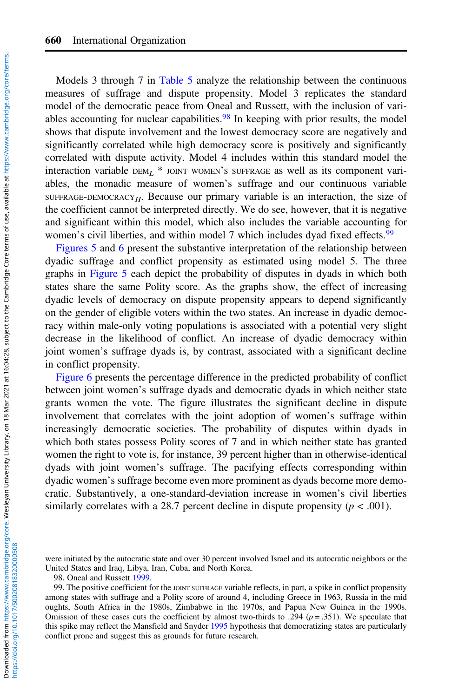Models 3 through 7 in [Table 5](#page-25-0) analyze the relationship between the continuous measures of suffrage and dispute propensity. Model 3 replicates the standard model of the democratic peace from Oneal and Russett, with the inclusion of variables accounting for nuclear capabilities. $98$  In keeping with prior results, the model shows that dispute involvement and the lowest democracy score are negatively and significantly correlated while high democracy score is positively and significantly correlated with dispute activity. Model 4 includes within this standard model the interaction variable  $DEM_L$ <sup>\*</sup> JOINT WOMEN's SUFFRAGE as well as its component variables, the monadic measure of women's suffrage and our continuous variable SUFFRAGE-DEMOCRACY<sub>H</sub>. Because our primary variable is an interaction, the size of the coefficient cannot be interpreted directly. We do see, however, that it is negative and significant within this model, which also includes the variable accounting for women's civil liberties, and within model 7 which includes dyad fixed effects.<sup>99</sup>

[Figures 5](#page-28-0) and [6](#page-29-0) present the substantive interpretation of the relationship between dyadic suffrage and conflict propensity as estimated using model 5. The three graphs in [Figure 5](#page-28-0) each depict the probability of disputes in dyads in which both states share the same Polity score. As the graphs show, the effect of increasing dyadic levels of democracy on dispute propensity appears to depend significantly on the gender of eligible voters within the two states. An increase in dyadic democracy within male-only voting populations is associated with a potential very slight decrease in the likelihood of conflict. An increase of dyadic democracy within joint women's suffrage dyads is, by contrast, associated with a significant decline in conflict propensity.

[Figure 6](#page-29-0) presents the percentage difference in the predicted probability of conflict between joint women's suffrage dyads and democratic dyads in which neither state grants women the vote. The figure illustrates the significant decline in dispute involvement that correlates with the joint adoption of women's suffrage within increasingly democratic societies. The probability of disputes within dyads in which both states possess Polity scores of 7 and in which neither state has granted women the right to vote is, for instance, 39 percent higher than in otherwise-identical dyads with joint women's suffrage. The pacifying effects corresponding within dyadic women's suffrage become even more prominent as dyads become more democratic. Substantively, a one-standard-deviation increase in women's civil liberties similarly correlates with a 28.7 percent decline in dispute propensity ( $p < .001$ ).

were initiated by the autocratic state and over 30 percent involved Israel and its autocratic neighbors or the United States and Iraq, Libya, Iran, Cuba, and North Korea.

<sup>98.</sup> Oneal and Russett [1999](#page-36-0).

<sup>99.</sup> The positive coefficient for the JOINT SUFFRAGE variable reflects, in part, a spike in conflict propensity among states with suffrage and a Polity score of around 4, including Greece in 1963, Russia in the mid oughts, South Africa in the 1980s, Zimbabwe in the 1970s, and Papua New Guinea in the 1990s. Omission of these cases cuts the coefficient by almost two-thirds to .294 ( $p = .351$ ). We speculate that this spike may reflect the Mansfield and Snyder [1995](#page-35-0) hypothesis that democratizing states are particularly conflict prone and suggest this as grounds for future research.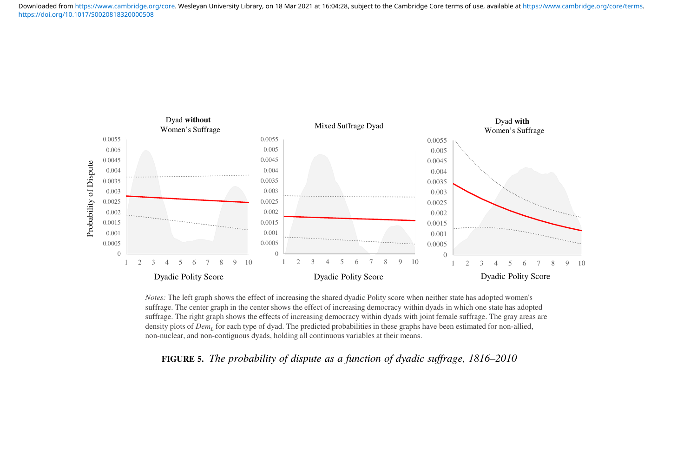<span id="page-28-0"></span>https://doi.org/10.1017/S0020818320000508Downloaded from https://www.cambridge.org/core. Wesleyan University Library, on 18 Mar 2021 at 16:04:28, subject to the Cambridge Core terms of use, available at https://www.cambridge.org/core/terms.



*Notes:* The left graph shows the effect of increasing the shared dyadic Polity score when neither state has adopted women's suffrage. The center graph in the center shows the effect of increasing democracy within dyads in which one state has adopted suffrage. The right graph shows the effects of increasing democracy within dyads with joint female suffrage. The gray areas are density plots of *Dem<sub>L</sub>* for each type of dyad. The predicted probabilities in these graphs have been estimated for non-allied, non-nuclear, and non-contiguous dyads, holding all continuous variables at their means.

FIGURE 5. The probability of dispute as <sup>a</sup> function of dyadic suffrage, 1816–2010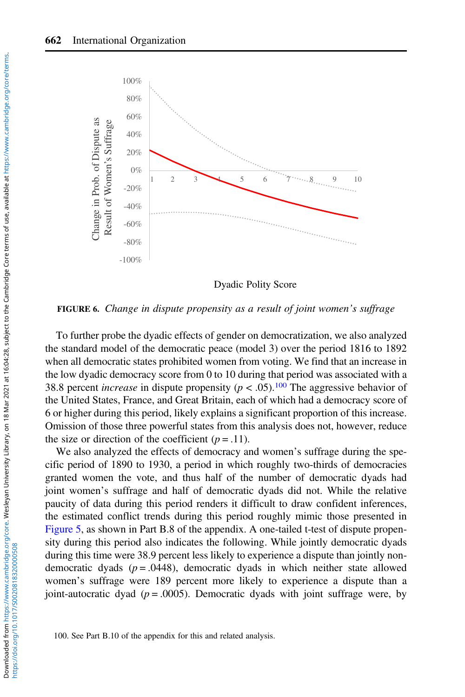<span id="page-29-0"></span>

Dyadic Polity Score

FIGURE 6. Change in dispute propensity as a result of joint women's suffrage

To further probe the dyadic effects of gender on democratization, we also analyzed the standard model of the democratic peace (model 3) over the period 1816 to 1892 when all democratic states prohibited women from voting. We find that an increase in the low dyadic democracy score from 0 to 10 during that period was associated with a 38.8 percent *increase* in dispute propensity ( $p < .05$ ).<sup>100</sup> The aggressive behavior of the United States, France, and Great Britain, each of which had a democracy score of 6 or higher during this period, likely explains a significant proportion of this increase. Omission of those three powerful states from this analysis does not, however, reduce the size or direction of the coefficient  $(p = .11)$ .

We also analyzed the effects of democracy and women's suffrage during the specific period of 1890 to 1930, a period in which roughly two-thirds of democracies granted women the vote, and thus half of the number of democratic dyads had joint women's suffrage and half of democratic dyads did not. While the relative paucity of data during this period renders it difficult to draw confident inferences, the estimated conflict trends during this period roughly mimic those presented in [Figure 5](#page-28-0), as shown in Part B.8 of the appendix. A one-tailed t-test of dispute propensity during this period also indicates the following. While jointly democratic dyads during this time were 38.9 percent less likely to experience a dispute than jointly nondemocratic dyads ( $p = .0448$ ), democratic dyads in which neither state allowed women's suffrage were 189 percent more likely to experience a dispute than a joint-autocratic dyad ( $p = .0005$ ). Democratic dyads with joint suffrage were, by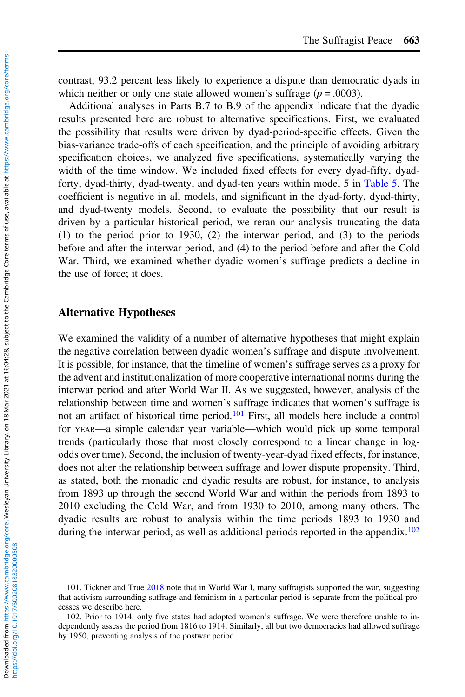contrast, 93.2 percent less likely to experience a dispute than democratic dyads in which neither or only one state allowed women's suffrage ( $p = .0003$ ).

Additional analyses in Parts B.7 to B.9 of the appendix indicate that the dyadic results presented here are robust to alternative specifications. First, we evaluated the possibility that results were driven by dyad-period-specific effects. Given the bias-variance trade-offs of each specification, and the principle of avoiding arbitrary specification choices, we analyzed five specifications, systematically varying the width of the time window. We included fixed effects for every dyad-fifty, dyadforty, dyad-thirty, dyad-twenty, and dyad-ten years within model 5 in [Table 5.](#page-25-0) The coefficient is negative in all models, and significant in the dyad-forty, dyad-thirty, and dyad-twenty models. Second, to evaluate the possibility that our result is driven by a particular historical period, we reran our analysis truncating the data (1) to the period prior to 1930, (2) the interwar period, and (3) to the periods before and after the interwar period, and (4) to the period before and after the Cold War. Third, we examined whether dyadic women's suffrage predicts a decline in the use of force; it does.

## Alternative Hypotheses

We examined the validity of a number of alternative hypotheses that might explain the negative correlation between dyadic women's suffrage and dispute involvement. It is possible, for instance, that the timeline of women's suffrage serves as a proxy for the advent and institutionalization of more cooperative international norms during the interwar period and after World War II. As we suggested, however, analysis of the relationship between time and women's suffrage indicates that women's suffrage is not an artifact of historical time period.<sup>101</sup> First, all models here include a control for YEAR—a simple calendar year variable—which would pick up some temporal trends (particularly those that most closely correspond to a linear change in logodds over time). Second, the inclusion of twenty-year-dyad fixed effects, for instance, does not alter the relationship between suffrage and lower dispute propensity. Third, as stated, both the monadic and dyadic results are robust, for instance, to analysis from 1893 up through the second World War and within the periods from 1893 to 2010 excluding the Cold War, and from 1930 to 2010, among many others. The dyadic results are robust to analysis within the time periods 1893 to 1930 and during the interwar period, as well as additional periods reported in the appendix.<sup>102</sup>

<sup>101.</sup> Tickner and True [2018](#page-37-0) note that in World War I, many suffragists supported the war, suggesting that activism surrounding suffrage and feminism in a particular period is separate from the political processes we describe here.

<sup>102.</sup> Prior to 1914, only five states had adopted women's suffrage. We were therefore unable to independently assess the period from 1816 to 1914. Similarly, all but two democracies had allowed suffrage by 1950, preventing analysis of the postwar period.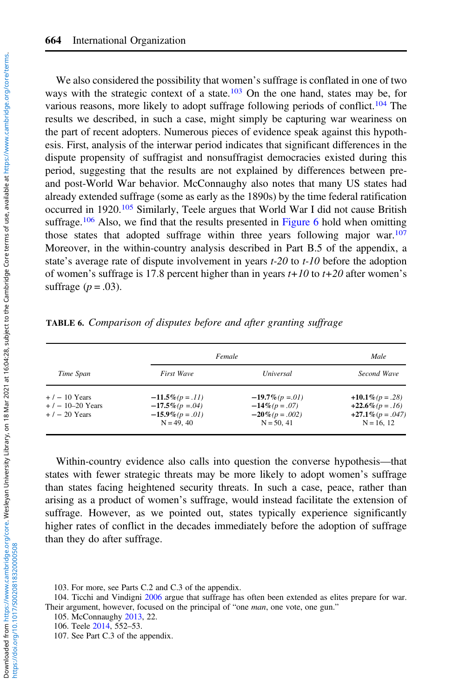<span id="page-31-0"></span>We also considered the possibility that women's suffrage is conflated in one of two ways with the strategic context of a state. $103$  On the one hand, states may be, for various reasons, more likely to adopt suffrage following periods of conflict.<sup>104</sup> The results we described, in such a case, might simply be capturing war weariness on the part of recent adopters. Numerous pieces of evidence speak against this hypothesis. First, analysis of the interwar period indicates that significant differences in the dispute propensity of suffragist and nonsuffragist democracies existed during this period, suggesting that the results are not explained by differences between preand post-World War behavior. McConnaughy also notes that many US states had already extended suffrage (some as early as the 1890s) by the time federal ratification occurred in  $1920$ .<sup>105</sup> Similarly, Teele argues that World War I did not cause British suffrage.<sup>106</sup> Also, we find that the results presented in Figure  $6$  hold when omitting those states that adopted suffrage within three years following major war.<sup>107</sup> Moreover, in the within-country analysis described in Part B.5 of the appendix, a state's average rate of dispute involvement in years  $t-20$  to  $t-10$  before the adoption of women's suffrage is 17.8 percent higher than in years  $t+10$  to  $t+20$  after women's suffrage  $(p=.03)$ .

|                       | Female              | Male               |                      |
|-----------------------|---------------------|--------------------|----------------------|
| Time Span             | First Wave          | Universal          | Second Wave          |
| $+$ / $-$ 10 Years    | $-11.5\% (p=.11)$   | $-19.7\%$ (p = 01) | $+10.1\% (p=.28)$    |
| $+ / - 10 - 20$ Years | $-17.5\%$ (p = 04)  | $-14\% (p=.07)$    | $+22.6\%$ (p = .16)  |
| $+$ $/$ – 20 Years    | $-15.9\%$ (p = .01) | $-20\%$ (p = .002) | $+27.1\%$ (p = .047) |
|                       | $N = 49, 40$        | $N = 50, 41$       | $N = 16, 12$         |

TABLE 6. Comparison of disputes before and after granting suffrage

Within-country evidence also calls into question the converse hypothesis—that states with fewer strategic threats may be more likely to adopt women's suffrage than states facing heightened security threats. In such a case, peace, rather than arising as a product of women's suffrage, would instead facilitate the extension of suffrage. However, as we pointed out, states typically experience significantly higher rates of conflict in the decades immediately before the adoption of suffrage than they do after suffrage.

<sup>103.</sup> For more, see Parts C.2 and C.3 of the appendix.

<sup>104.</sup> Ticchi and Vindigni [2006](#page-37-0) argue that suffrage has often been extended as elites prepare for war. Their argument, however, focused on the principal of "one man, one vote, one gun."

<sup>105.</sup> McConnaughy [2013,](#page-35-0) 22.

<sup>106.</sup> Teele [2014](#page-36-0), 552–53.

<sup>107.</sup> See Part C.3 of the appendix.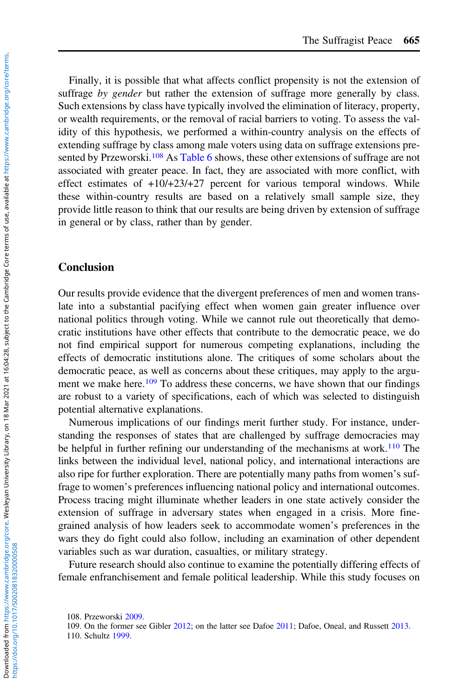Finally, it is possible that what affects conflict propensity is not the extension of suffrage by *gender* but rather the extension of suffrage more generally by class. Such extensions by class have typically involved the elimination of literacy, property, or wealth requirements, or the removal of racial barriers to voting. To assess the validity of this hypothesis, we performed a within-country analysis on the effects of extending suffrage by class among male voters using data on suffrage extensions pre-sented by Przeworski.<sup>108</sup> As [Table 6](#page-31-0) shows, these other extensions of suffrage are not associated with greater peace. In fact, they are associated with more conflict, with effect estimates of +10/+23/+27 percent for various temporal windows. While these within-country results are based on a relatively small sample size, they provide little reason to think that our results are being driven by extension of suffrage in general or by class, rather than by gender.

## **Conclusion**

Our results provide evidence that the divergent preferences of men and women translate into a substantial pacifying effect when women gain greater influence over national politics through voting. While we cannot rule out theoretically that democratic institutions have other effects that contribute to the democratic peace, we do not find empirical support for numerous competing explanations, including the effects of democratic institutions alone. The critiques of some scholars about the democratic peace, as well as concerns about these critiques, may apply to the argument we make here.<sup>109</sup> To address these concerns, we have shown that our findings are robust to a variety of specifications, each of which was selected to distinguish potential alternative explanations.

Numerous implications of our findings merit further study. For instance, understanding the responses of states that are challenged by suffrage democracies may be helpful in further refining our understanding of the mechanisms at work.<sup>110</sup> The links between the individual level, national policy, and international interactions are also ripe for further exploration. There are potentially many paths from women's suffrage to women's preferences influencing national policy and international outcomes. Process tracing might illuminate whether leaders in one state actively consider the extension of suffrage in adversary states when engaged in a crisis. More finegrained analysis of how leaders seek to accommodate women's preferences in the wars they do fight could also follow, including an examination of other dependent variables such as war duration, casualties, or military strategy.

Future research should also continue to examine the potentially differing effects of female enfranchisement and female political leadership. While this study focuses on

<sup>108.</sup> Przeworski [2009](#page-36-0).

<sup>109.</sup> On the former see Gibler [2012](#page-35-0); on the latter see Dafoe [2011;](#page-34-0) Dafoe, Oneal, and Russett [2013.](#page-34-0)

<sup>110.</sup> Schultz [1999](#page-36-0).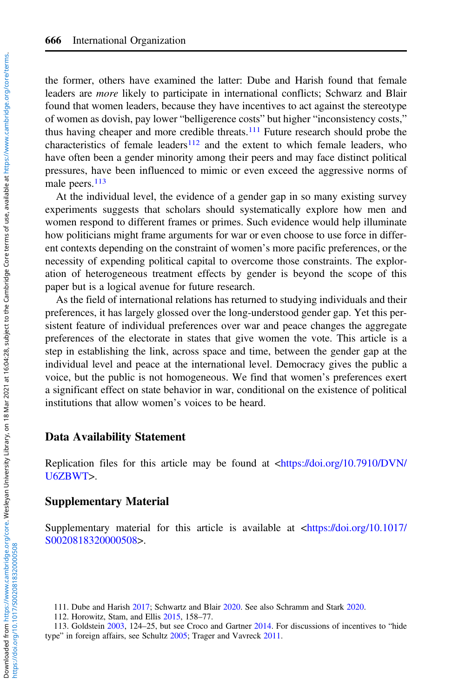the former, others have examined the latter: Dube and Harish found that female leaders are more likely to participate in international conflicts; Schwarz and Blair found that women leaders, because they have incentives to act against the stereotype of women as dovish, pay lower "belligerence costs" but higher "inconsistency costs," thus having cheaper and more credible threats.<sup>111</sup> Future research should probe the characteristics of female leaders<sup>112</sup> and the extent to which female leaders, who have often been a gender minority among their peers and may face distinct political pressures, have been influenced to mimic or even exceed the aggressive norms of male peers.<sup>113</sup>

At the individual level, the evidence of a gender gap in so many existing survey experiments suggests that scholars should systematically explore how men and women respond to different frames or primes. Such evidence would help illuminate how politicians might frame arguments for war or even choose to use force in different contexts depending on the constraint of women's more pacific preferences, or the necessity of expending political capital to overcome those constraints. The exploration of heterogeneous treatment effects by gender is beyond the scope of this paper but is a logical avenue for future research.

As the field of international relations has returned to studying individuals and their preferences, it has largely glossed over the long-understood gender gap. Yet this persistent feature of individual preferences over war and peace changes the aggregate preferences of the electorate in states that give women the vote. This article is a step in establishing the link, across space and time, between the gender gap at the individual level and peace at the international level. Democracy gives the public a voice, but the public is not homogeneous. We find that women's preferences exert a significant effect on state behavior in war, conditional on the existence of political institutions that allow women's voices to be heard.

#### Data Availability Statement

Replication files for this article may be found at <[https://doi.org/10.7910/DVN/](https://doi.org/10.7910/DVN/U6ZBWT) [U6ZBWT](https://doi.org/10.7910/DVN/U6ZBWT)>.

#### Supplementary Material

Supplementary material for this article is available at [<https://doi.org/10.1017/](https://doi.org/10.1017/S0020818320000508) [S0020818320000508>](https://doi.org/10.1017/S0020818320000508).

<sup>111.</sup> Dube and Harish [2017](#page-34-0); Schwartz and Blair [2020](#page-36-0). See also Schramm and Stark [2020](#page-36-0).

<sup>112.</sup> Horowitz, Stam, and Ellis [2015,](#page-35-0) 158–77.

<sup>113.</sup> Goldstein [2003,](#page-35-0) 124–25, but see Croco and Gartner [2014](#page-34-0). For discussions of incentives to "hide type" in foreign affairs, see Schultz [2005](#page-36-0); Trager and Vavreck [2011.](#page-37-0)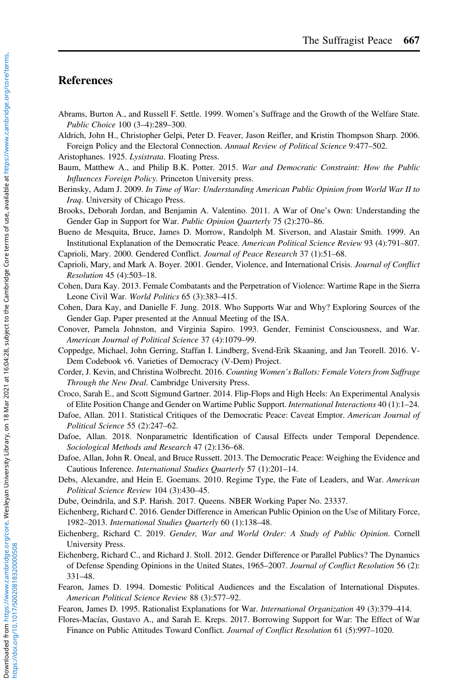## <span id="page-34-0"></span>References

- Abrams, Burton A., and Russell F. Settle. 1999. Women's Suffrage and the Growth of the Welfare State. Public Choice 100 (3–4):289–300.
- Aldrich, John H., Christopher Gelpi, Peter D. Feaver, Jason Reifler, and Kristin Thompson Sharp. 2006. Foreign Policy and the Electoral Connection. Annual Review of Political Science 9:477–502.

Aristophanes. 1925. Lysistrata. Floating Press.

- Baum, Matthew A., and Philip B.K. Potter. 2015. War and Democratic Constraint: How the Public Influences Foreign Policy. Princeton University press.
- Berinsky, Adam J. 2009. In Time of War: Understanding American Public Opinion from World War II to Iraq. University of Chicago Press.

Brooks, Deborah Jordan, and Benjamin A. Valentino. 2011. A War of One's Own: Understanding the Gender Gap in Support for War. Public Opinion Quarterly 75 (2):270-86.

Bueno de Mesquita, Bruce, James D. Morrow, Randolph M. Siverson, and Alastair Smith. 1999. An Institutional Explanation of the Democratic Peace. American Political Science Review 93 (4):791–807.

Caprioli, Mary. 2000. Gendered Conflict. Journal of Peace Research 37 (1):51–68.

- Caprioli, Mary, and Mark A. Boyer. 2001. Gender, Violence, and International Crisis. Journal of Conflict Resolution 45 (4):503–18.
- Cohen, Dara Kay. 2013. Female Combatants and the Perpetration of Violence: Wartime Rape in the Sierra Leone Civil War. World Politics 65 (3):383–415.
- Cohen, Dara Kay, and Danielle F. Jung. 2018. Who Supports War and Why? Exploring Sources of the Gender Gap. Paper presented at the Annual Meeting of the ISA.
- Conover, Pamela Johnston, and Virginia Sapiro. 1993. Gender, Feminist Consciousness, and War. American Journal of Political Science 37 (4):1079–99.
- Coppedge, Michael, John Gerring, Staffan I. Lindberg, Svend-Erik Skaaning, and Jan Teorell. 2016. V-Dem Codebook v6. Varieties of Democracy (V-Dem) Project.
- Corder, J. Kevin, and Christina Wolbrecht. 2016. Counting Women's Ballots: Female Voters from Suffrage Through the New Deal. Cambridge University Press.
- Croco, Sarah E., and Scott Sigmund Gartner. 2014. Flip-Flops and High Heels: An Experimental Analysis of Elite Position Change and Gender on Wartime Public Support. International Interactions 40 (1):1–24.
- Dafoe, Allan. 2011. Statistical Critiques of the Democratic Peace: Caveat Emptor. American Journal of Political Science 55 (2):247–62.
- Dafoe, Allan. 2018. Nonparametric Identification of Causal Effects under Temporal Dependence. Sociological Methods and Research 47 (2):136–68.
- Dafoe, Allan, John R. Oneal, and Bruce Russett. 2013. The Democratic Peace: Weighing the Evidence and Cautious Inference. International Studies Quarterly 57 (1):201–14.
- Debs, Alexandre, and Hein E. Goemans. 2010. Regime Type, the Fate of Leaders, and War. American Political Science Review 104 (3):430–45.

Dube, Oeindrila, and S.P. Harish. 2017. Queens. NBER Working Paper No. 23337.

- Eichenberg, Richard C. 2016. Gender Difference in American Public Opinion on the Use of Military Force, 1982–2013. International Studies Quarterly 60 (1):138–48.
- Eichenberg, Richard C. 2019. Gender, War and World Order: A Study of Public Opinion. Cornell University Press.
- Eichenberg, Richard C., and Richard J. Stoll. 2012. Gender Difference or Parallel Publics? The Dynamics of Defense Spending Opinions in the United States, 1965-2007. Journal of Conflict Resolution 56 (2): 331–48.
- Fearon, James D. 1994. Domestic Political Audiences and the Escalation of International Disputes. American Political Science Review 88 (3):577–92.
- Fearon, James D. 1995. Rationalist Explanations for War. International Organization 49 (3):379–414.
- Flores-Macías, Gustavo A., and Sarah E. Kreps. 2017. Borrowing Support for War: The Effect of War Finance on Public Attitudes Toward Conflict. Journal of Conflict Resolution 61 (5):997-1020.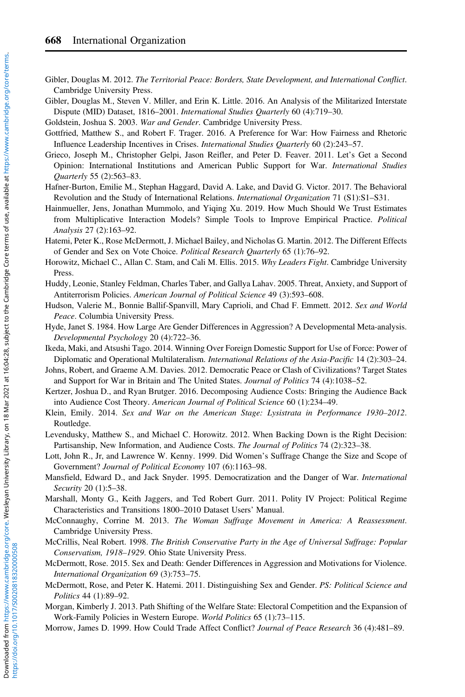<span id="page-35-0"></span>Gibler, Douglas M. 2012. The Territorial Peace: Borders, State Development, and International Conflict. Cambridge University Press.

Gibler, Douglas M., Steven V. Miller, and Erin K. Little. 2016. An Analysis of the Militarized Interstate Dispute (MID) Dataset, 1816–2001. International Studies Quarterly 60 (4):719–30.

Goldstein, Joshua S. 2003. War and Gender. Cambridge University Press.

Gottfried, Matthew S., and Robert F. Trager. 2016. A Preference for War: How Fairness and Rhetoric Influence Leadership Incentives in Crises. International Studies Quarterly 60 (2):243–57.

- Grieco, Joseph M., Christopher Gelpi, Jason Reifler, and Peter D. Feaver. 2011. Let's Get a Second Opinion: International Institutions and American Public Support for War. International Studies Quarterly 55 (2):563–83.
- Hafner-Burton, Emilie M., Stephan Haggard, David A. Lake, and David G. Victor. 2017. The Behavioral Revolution and the Study of International Relations. International Organization 71 (S1):S1–S31.
- Hainmueller, Jens, Jonathan Mummolo, and Yiqing Xu. 2019. How Much Should We Trust Estimates from Multiplicative Interaction Models? Simple Tools to Improve Empirical Practice. Political Analysis 27 (2):163–92.
- Hatemi, Peter K., Rose McDermott, J. Michael Bailey, and Nicholas G. Martin. 2012. The Different Effects of Gender and Sex on Vote Choice. Political Research Quarterly 65 (1):76–92.
- Horowitz, Michael C., Allan C. Stam, and Cali M. Ellis. 2015. Why Leaders Fight. Cambridge University Press.
- Huddy, Leonie, Stanley Feldman, Charles Taber, and Gallya Lahav. 2005. Threat, Anxiety, and Support of Antiterrorism Policies. American Journal of Political Science 49 (3):593-608.
- Hudson, Valerie M., Bonnie Ballif-Spanvill, Mary Caprioli, and Chad F. Emmett. 2012. Sex and World Peace. Columbia University Press.
- Hyde, Janet S. 1984. How Large Are Gender Differences in Aggression? A Developmental Meta-analysis. Developmental Psychology 20 (4):722–36.
- Ikeda, Maki, and Atsushi Tago. 2014. Winning Over Foreign Domestic Support for Use of Force: Power of Diplomatic and Operational Multilateralism. International Relations of the Asia-Pacific 14 (2):303–24.
- Johns, Robert, and Graeme A.M. Davies. 2012. Democratic Peace or Clash of Civilizations? Target States and Support for War in Britain and The United States. *Journal of Politics* 74 (4):1038–52.
- Kertzer, Joshua D., and Ryan Brutger. 2016. Decomposing Audience Costs: Bringing the Audience Back into Audience Cost Theory. American Journal of Political Science 60 (1):234–49.
- Klein, Emily. 2014. Sex and War on the American Stage: Lysistrata in Performance 1930–2012. Routledge.
- Levendusky, Matthew S., and Michael C. Horowitz. 2012. When Backing Down is the Right Decision: Partisanship, New Information, and Audience Costs. The Journal of Politics 74 (2):323–38.
- Lott, John R., Jr, and Lawrence W. Kenny. 1999. Did Women's Suffrage Change the Size and Scope of Government? Journal of Political Economy 107 (6):1163–98.
- Mansfield, Edward D., and Jack Snyder. 1995. Democratization and the Danger of War. International Security 20 (1):5–38.
- Marshall, Monty G., Keith Jaggers, and Ted Robert Gurr. 2011. Polity IV Project: Political Regime Characteristics and Transitions 1800–2010 Dataset Users' Manual.
- McConnaughy, Corrine M. 2013. The Woman Suffrage Movement in America: A Reassessment. Cambridge University Press.
- McCrillis, Neal Robert. 1998. The British Conservative Party in the Age of Universal Suffrage: Popular Conservatism, 1918–1929. Ohio State University Press.
- McDermott, Rose. 2015. Sex and Death: Gender Differences in Aggression and Motivations for Violence. International Organization 69 (3):753–75.
- McDermott, Rose, and Peter K. Hatemi. 2011. Distinguishing Sex and Gender. PS: Political Science and Politics 44 (1):89–92.
- Morgan, Kimberly J. 2013. Path Shifting of the Welfare State: Electoral Competition and the Expansion of Work-Family Policies in Western Europe. World Politics 65 (1):73-115.
- Morrow, James D. 1999. How Could Trade Affect Conflict? Journal of Peace Research 36 (4):481-89.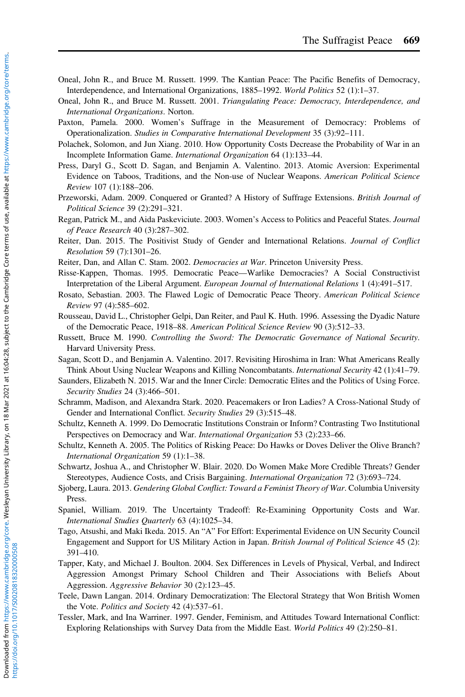- <span id="page-36-0"></span>Oneal, John R., and Bruce M. Russett. 1999. The Kantian Peace: The Pacific Benefits of Democracy, Interdependence, and International Organizations, 1885–1992. World Politics 52 (1):1–37.
- Oneal, John R., and Bruce M. Russett. 2001. Triangulating Peace: Democracy, Interdependence, and International Organizations. Norton.
- Paxton, Pamela. 2000. Women's Suffrage in the Measurement of Democracy: Problems of Operationalization. Studies in Comparative International Development 35 (3):92–111.
- Polachek, Solomon, and Jun Xiang. 2010. How Opportunity Costs Decrease the Probability of War in an Incomplete Information Game. International Organization 64 (1):133–44.
- Press, Daryl G., Scott D. Sagan, and Benjamin A. Valentino. 2013. Atomic Aversion: Experimental Evidence on Taboos, Traditions, and the Non-use of Nuclear Weapons. American Political Science Review 107 (1):188–206.
- Przeworski, Adam. 2009. Conquered or Granted? A History of Suffrage Extensions. British Journal of Political Science 39 (2):291–321.
- Regan, Patrick M., and Aida Paskeviciute. 2003. Women's Access to Politics and Peaceful States. Journal of Peace Research 40 (3):287–302.
- Reiter, Dan. 2015. The Positivist Study of Gender and International Relations. Journal of Conflict Resolution 59 (7):1301–26.
- Reiter, Dan, and Allan C. Stam. 2002. Democracies at War. Princeton University Press.
- Risse-Kappen, Thomas. 1995. Democratic Peace—Warlike Democracies? A Social Constructivist Interpretation of the Liberal Argument. European Journal of International Relations 1 (4):491–517.
- Rosato, Sebastian. 2003. The Flawed Logic of Democratic Peace Theory. American Political Science Review 97 (4):585–602.
- Rousseau, David L., Christopher Gelpi, Dan Reiter, and Paul K. Huth. 1996. Assessing the Dyadic Nature of the Democratic Peace, 1918–88. American Political Science Review 90 (3):512–33.
- Russett, Bruce M. 1990. Controlling the Sword: The Democratic Governance of National Security. Harvard University Press.
- Sagan, Scott D., and Benjamin A. Valentino. 2017. Revisiting Hiroshima in Iran: What Americans Really Think About Using Nuclear Weapons and Killing Noncombatants. International Security 42 (1):41–79.
- Saunders, Elizabeth N. 2015. War and the Inner Circle: Democratic Elites and the Politics of Using Force. Security Studies 24 (3):466–501.
- Schramm, Madison, and Alexandra Stark. 2020. Peacemakers or Iron Ladies? A Cross-National Study of Gender and International Conflict. Security Studies 29 (3):515–48.
- Schultz, Kenneth A. 1999. Do Democratic Institutions Constrain or Inform? Contrasting Two Institutional Perspectives on Democracy and War. International Organization 53 (2):233-66.
- Schultz, Kenneth A. 2005. The Politics of Risking Peace: Do Hawks or Doves Deliver the Olive Branch? International Organization 59 (1):1–38.
- Schwartz, Joshua A., and Christopher W. Blair. 2020. Do Women Make More Credible Threats? Gender Stereotypes, Audience Costs, and Crisis Bargaining. *International Organization* 72 (3):693–724.
- Sjoberg, Laura. 2013. Gendering Global Conflict: Toward a Feminist Theory of War. Columbia University Press.
- Spaniel, William. 2019. The Uncertainty Tradeoff: Re-Examining Opportunity Costs and War. International Studies Quarterly 63 (4):1025–34.
- Tago, Atsushi, and Maki Ikeda. 2015. An "A" For Effort: Experimental Evidence on UN Security Council Engagement and Support for US Military Action in Japan. British Journal of Political Science 45 (2): 391–410.
- Tapper, Katy, and Michael J. Boulton. 2004. Sex Differences in Levels of Physical, Verbal, and Indirect Aggression Amongst Primary School Children and Their Associations with Beliefs About Aggression. Aggressive Behavior 30 (2):123–45.
- Teele, Dawn Langan. 2014. Ordinary Democratization: The Electoral Strategy that Won British Women the Vote. Politics and Society 42 (4):537–61.
- Tessler, Mark, and Ina Warriner. 1997. Gender, Feminism, and Attitudes Toward International Conflict: Exploring Relationships with Survey Data from the Middle East. World Politics 49 (2):250–81.